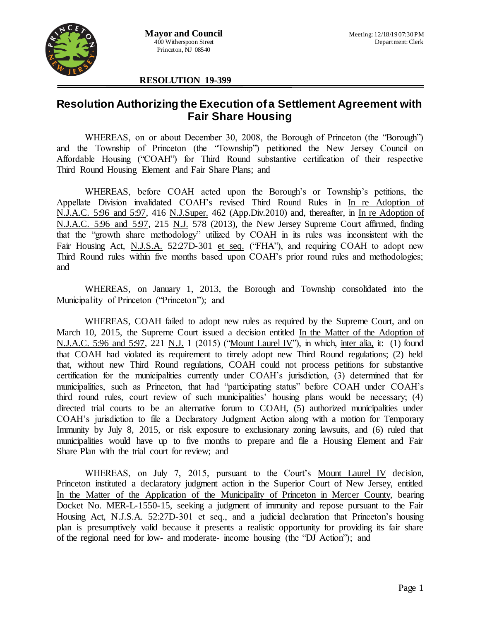

# **RESOLUTION 19-399**

# **Resolution Authorizing the Execution of a Settlement Agreement with Fair Share Housing**

WHEREAS, on or about December 30, 2008, the Borough of Princeton (the "Borough") and the Township of Princeton (the "Township") petitioned the New Jersey Council on Affordable Housing ("COAH") for Third Round substantive certification of their respective Third Round Housing Element and Fair Share Plans; and

WHEREAS, before COAH acted upon the Borough's or Township's petitions, the Appellate Division invalidated COAH's revised Third Round Rules in In re Adoption of N.J.A.C. 5:96 and 5:97, 416 N.J.Super. 462 (App.Div.2010) and, thereafter, in In re Adoption of N.J.A.C. 5:96 and 5:97, 215 N.J. 578 (2013), the New Jersey Supreme Court affirmed, finding that the "growth share methodology" utilized by COAH in its rules was inconsistent with the Fair Housing Act, N.J.S.A. 52:27D-301 et seq. ("FHA"), and requiring COAH to adopt new Third Round rules within five months based upon COAH's prior round rules and methodologies; and

WHEREAS, on January 1, 2013, the Borough and Township consolidated into the Municipality of Princeton ("Princeton"); and

WHEREAS, COAH failed to adopt new rules as required by the Supreme Court, and on March 10, 2015, the Supreme Court issued a decision entitled In the Matter of the Adoption of N.J.A.C. 5:96 and 5:97, 221 N.J. 1 (2015) ("Mount Laurel IV"), in which, inter alia, it: (1) found that COAH had violated its requirement to timely adopt new Third Round regulations; (2) held that, without new Third Round regulations, COAH could not process petitions for substantive certification for the municipalities currently under COAH's jurisdiction, (3) determined that for municipalities, such as Princeton, that had "participating status" before COAH under COAH's third round rules, court review of such municipalities' housing plans would be necessary; (4) directed trial courts to be an alternative forum to COAH, (5) authorized municipalities under COAH's jurisdiction to file a Declaratory Judgment Action along with a motion for Temporary Immunity by July 8, 2015, or risk exposure to exclusionary zoning lawsuits, and (6) ruled that municipalities would have up to five months to prepare and file a Housing Element and Fair Share Plan with the trial court for review; and

WHEREAS, on July 7, 2015, pursuant to the Court's Mount Laurel IV decision, Princeton instituted a declaratory judgment action in the Superior Court of New Jersey, entitled In the Matter of the Application of the Municipality of Princeton in Mercer County, bearing Docket No. MER-L-1550-15, seeking a judgment of immunity and repose pursuant to the Fair Housing Act, N.J.S.A. 52:27D-301 et seq., and a judicial declaration that Princeton's housing plan is presumptively valid because it presents a realistic opportunity for providing its fair share of the regional need for low- and moderate- income housing (the "DJ Action"); and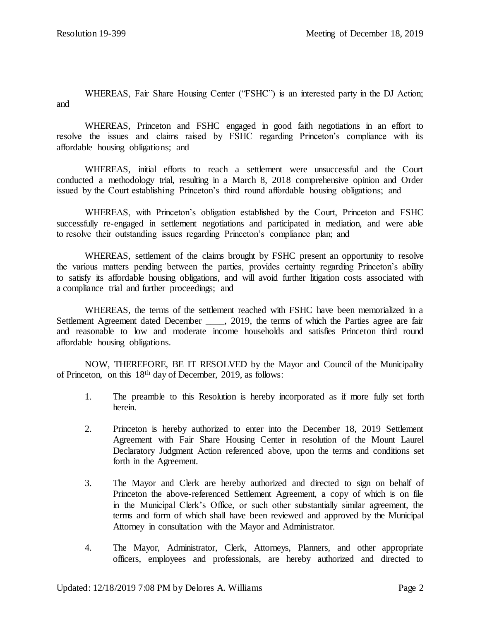WHEREAS, Fair Share Housing Center ("FSHC") is an interested party in the DJ Action; and

WHEREAS, Princeton and FSHC engaged in good faith negotiations in an effort to resolve the issues and claims raised by FSHC regarding Princeton's compliance with its affordable housing obligations; and

WHEREAS, initial efforts to reach a settlement were unsuccessful and the Court conducted a methodology trial, resulting in a March 8, 2018 comprehensive opinion and Order issued by the Court establishing Princeton's third round affordable housing obligations; and

WHEREAS, with Princeton's obligation established by the Court, Princeton and FSHC successfully re-engaged in settlement negotiations and participated in mediation, and were able to resolve their outstanding issues regarding Princeton's compliance plan; and

WHEREAS, settlement of the claims brought by FSHC present an opportunity to resolve the various matters pending between the parties, provides certainty regarding Princeton's ability to satisfy its affordable housing obligations, and will avoid further litigation costs associated with a compliance trial and further proceedings; and

WHEREAS, the terms of the settlement reached with FSHC have been memorialized in a Settlement Agreement dated December \_\_\_\_, 2019, the terms of which the Parties agree are fair and reasonable to low and moderate income households and satisfies Princeton third round affordable housing obligations.

NOW, THEREFORE, BE IT RESOLVED by the Mayor and Council of the Municipality of Princeton, on this 18th day of December, 2019, as follows:

- 1. The preamble to this Resolution is hereby incorporated as if more fully set forth herein.
- 2. Princeton is hereby authorized to enter into the December 18, 2019 Settlement Agreement with Fair Share Housing Center in resolution of the Mount Laurel Declaratory Judgment Action referenced above, upon the terms and conditions set forth in the Agreement.
- 3. The Mayor and Clerk are hereby authorized and directed to sign on behalf of Princeton the above-referenced Settlement Agreement, a copy of which is on file in the Municipal Clerk's Office, or such other substantially similar agreement, the terms and form of which shall have been reviewed and approved by the Municipal Attorney in consultation with the Mayor and Administrator.
- 4. The Mayor, Administrator, Clerk, Attorneys, Planners, and other appropriate officers, employees and professionals, are hereby authorized and directed to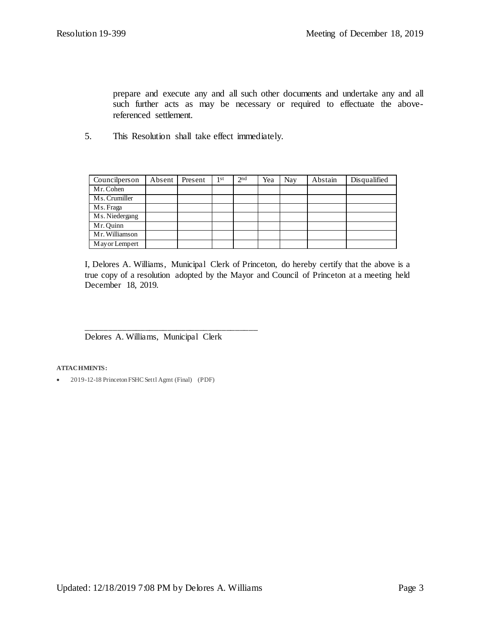prepare and execute any and all such other documents and undertake any and all such further acts as may be necessary or required to effectuate the abovereferenced settlement.

5. This Resolution shall take effect immediately.

| Councilperson              | Absent | Present | 1st | 2 <sup>nd</sup> | Yea | Nay | Abstain | Disqualified |
|----------------------------|--------|---------|-----|-----------------|-----|-----|---------|--------------|
| Mr. Cohen                  |        |         |     |                 |     |     |         |              |
| M <sub>s</sub> . Crumiller |        |         |     |                 |     |     |         |              |
| Ms. Fraga                  |        |         |     |                 |     |     |         |              |
| Ms. Niedergang             |        |         |     |                 |     |     |         |              |
| Mr. Quinn                  |        |         |     |                 |     |     |         |              |
| Mr. Williamson             |        |         |     |                 |     |     |         |              |
| May or Lempert             |        |         |     |                 |     |     |         |              |

I, Delores A. Williams, Municipal Clerk of Princeton, do hereby certify that the above is a true copy of a resolution adopted by the Mayor and Council of Princeton at a meeting held December 18, 2019.

Delores A. Williams, Municipal Clerk

\_\_\_\_\_\_\_\_\_\_\_\_\_\_\_\_\_\_\_\_\_\_\_\_\_\_\_\_\_\_\_\_\_\_\_\_\_\_

### **ATTACHMENTS:**

2019-12-18 Princeton FSHC Settl Agmt (Final) (PDF)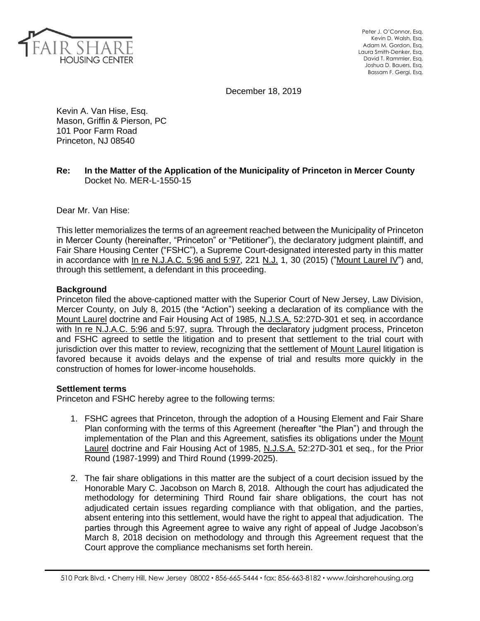

 Peter J. O'Connor, Esq. Kevin D. Walsh, Esq. Adam M. Gordon, Esq. Laura Smith-Denker, Esq. David T. Rammler, Esq. Joshua D. Bauers, Esq. Bassam F. Gergi, Esq.

December 18, 2019

Kevin A. Van Hise, Esq. Mason, Griffin & Pierson, PC 101 Poor Farm Road Princeton, NJ 08540

# **Re: In the Matter of the Application of the Municipality of Princeton in Mercer County** Docket No. MER-L-1550-15

Dear Mr. Van Hise:

This letter memorializes the terms of an agreement reached between the Municipality of Princeton in Mercer County (hereinafter, "Princeton" or "Petitioner"), the declaratory judgment plaintiff, and Fair Share Housing Center ("FSHC"), a Supreme Court-designated interested party in this matter in accordance with In re N.J.A.C. 5:96 and 5:97, 221 N.J. 1, 30 (2015) ("Mount Laurel IV") and, through this settlement, a defendant in this proceeding.

# **Background**

Princeton filed the above-captioned matter with the Superior Court of New Jersey, Law Division, Mercer County, on July 8, 2015 (the "Action") seeking a declaration of its compliance with the Mount Laurel doctrine and Fair Housing Act of 1985, N.J.S.A. 52:27D-301 et seq. in accordance with In re N.J.A.C. 5:96 and 5:97, supra. Through the declaratory judgment process, Princeton and FSHC agreed to settle the litigation and to present that settlement to the trial court with jurisdiction over this matter to review, recognizing that the settlement of Mount Laurel litigation is favored because it avoids delays and the expense of trial and results more quickly in the construction of homes for lower-income households.

# **Settlement terms**

Princeton and FSHC hereby agree to the following terms:

- 1. FSHC agrees that Princeton, through the adoption of a Housing Element and Fair Share Plan conforming with the terms of this Agreement (hereafter "the Plan") and through the implementation of the Plan and this Agreement, satisfies its obligations under the Mount Laurel doctrine and Fair Housing Act of 1985, N.J.S.A. 52:27D-301 et seq., for the Prior Round (1987-1999) and Third Round (1999-2025).
- 2. The fair share obligations in this matter are the subject of a court decision issued by the Honorable Mary C. Jacobson on March 8, 2018. Although the court has adjudicated the methodology for determining Third Round fair share obligations, the court has not adjudicated certain issues regarding compliance with that obligation, and the parties, absent entering into this settlement, would have the right to appeal that adjudication. The parties through this Agreement agree to waive any right of appeal of Judge Jacobson's March 8, 2018 decision on methodology and through this Agreement request that the Court approve the compliance mechanisms set forth herein.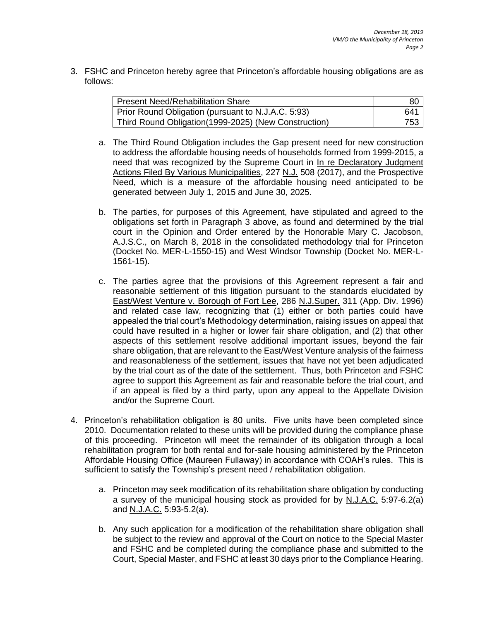<span id="page-4-0"></span>3. FSHC and Princeton hereby agree that Princeton's affordable housing obligations are as follows:

| Present Need/Rehabilitation Share                    | 80  |
|------------------------------------------------------|-----|
| Prior Round Obligation (pursuant to N.J.A.C. 5:93)   | 641 |
| Third Round Obligation(1999-2025) (New Construction) | 753 |

- a. The Third Round Obligation includes the Gap present need for new construction to address the affordable housing needs of households formed from 1999-2015, a need that was recognized by the Supreme Court in In re Declaratory Judgment Actions Filed By Various Municipalities, 227 N.J. 508 (2017), and the Prospective Need, which is a measure of the affordable housing need anticipated to be generated between July 1, 2015 and June 30, 2025.
- b. The parties, for purposes of this Agreement, have stipulated and agreed to the obligations set forth in Paragraph [3 above,](#page-4-0) as found and determined by the trial court in the Opinion and Order entered by the Honorable Mary C. Jacobson, A.J.S.C., on March 8, 2018 in the consolidated methodology trial for Princeton (Docket No. MER-L-1550-15) and West Windsor Township (Docket No. MER-L-1561-15).
- c. The parties agree that the provisions of this Agreement represent a fair and reasonable settlement of this litigation pursuant to the standards elucidated by East/West Venture v. Borough of Fort Lee, 286 N.J.Super. 311 (App. Div. 1996) and related case law, recognizing that (1) either or both parties could have appealed the trial court's Methodology determination, raising issues on appeal that could have resulted in a higher or lower fair share obligation, and (2) that other aspects of this settlement resolve additional important issues, beyond the fair share obligation, that are relevant to the East/West Venture analysis of the fairness and reasonableness of the settlement, issues that have not yet been adjudicated by the trial court as of the date of the settlement. Thus, both Princeton and FSHC agree to support this Agreement as fair and reasonable before the trial court, and if an appeal is filed by a third party, upon any appeal to the Appellate Division and/or the Supreme Court.
- 4. Princeton's rehabilitation obligation is 80 units. Five units have been completed since 2010. Documentation related to these units will be provided during the compliance phase of this proceeding. Princeton will meet the remainder of its obligation through a local rehabilitation program for both rental and for-sale housing administered by the Princeton Affordable Housing Office (Maureen Fullaway) in accordance with COAH's rules. This is sufficient to satisfy the Township's present need / rehabilitation obligation.
	- a. Princeton may seek modification of its rehabilitation share obligation by conducting a survey of the municipal housing stock as provided for by N.J.A.C. 5:97-6.2(a) and N.J.A.C. 5:93-5.2(a).
	- b. Any such application for a modification of the rehabilitation share obligation shall be subject to the review and approval of the Court on notice to the Special Master and FSHC and be completed during the compliance phase and submitted to the Court, Special Master, and FSHC at least 30 days prior to the Compliance Hearing.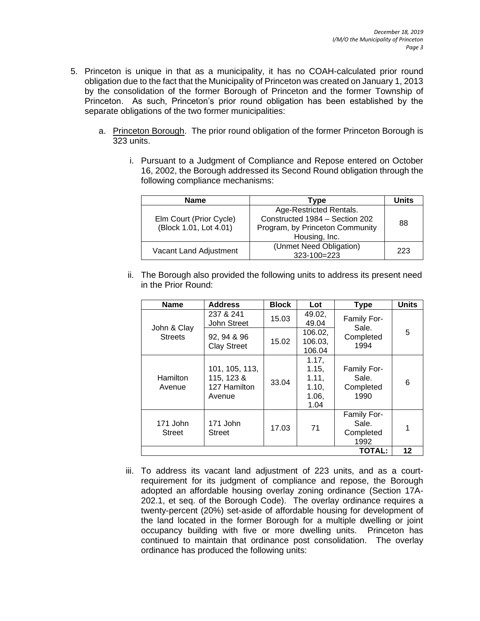- 5. Princeton is unique in that as a municipality, it has no COAH-calculated prior round obligation due to the fact that the Municipality of Princeton was created on January 1, 2013 by the consolidation of the former Borough of Princeton and the former Township of Princeton. As such, Princeton's prior round obligation has been established by the separate obligations of the two former municipalities:
	- a. Princeton Borough. The prior round obligation of the former Princeton Borough is 323 units.
		- i. Pursuant to a Judgment of Compliance and Repose entered on October 16, 2002, the Borough addressed its Second Round obligation through the following compliance mechanisms:

| <b>Name</b>             | Tvpe                            | <b>Units</b> |
|-------------------------|---------------------------------|--------------|
|                         | Age-Restricted Rentals.         |              |
| Elm Court (Prior Cycle) | Constructed 1984 - Section 202  | 88           |
| (Block 1.01, Lot 4.01)  | Program, by Princeton Community |              |
|                         | Housing, Inc.                   |              |
| Vacant Land Adjustment  | (Unmet Need Obligation)         | 223          |
|                         | 323-100=223                     |              |

ii. The Borough also provided the following units to address its present need in the Prior Round:

| <b>Name</b>               | <b>Address</b>                                         | <b>Block</b>                                                                                                                                                                                                                               | Lot             | <b>Type</b>   | <b>Units</b> |
|---------------------------|--------------------------------------------------------|--------------------------------------------------------------------------------------------------------------------------------------------------------------------------------------------------------------------------------------------|-----------------|---------------|--------------|
| John & Clay               | 237 & 241<br>John Street                               | 15.03                                                                                                                                                                                                                                      | 49.02,<br>49.04 | Family For-   |              |
| <b>Streets</b>            | 92, 94 & 96<br><b>Clay Street</b>                      | Sale.<br>106.02,<br>Completed<br>15.02<br>106.03,<br>1994<br>106.04<br>1.17,<br>1.15,<br>Family For-<br>1.11,<br>Sale.<br>33.04<br>1.10,<br>Completed<br>1.06,<br>1990<br>1.04<br>Family For-<br>Sale.<br>71<br>17.03<br>Completed<br>1992 | 5               |               |              |
| Hamilton<br>Avenue        | 101, 105, 113,<br>115, 123 &<br>127 Hamilton<br>Avenue |                                                                                                                                                                                                                                            |                 |               | 6            |
| 171 John<br><b>Street</b> | 171 John<br>Street                                     |                                                                                                                                                                                                                                            |                 |               | 1            |
|                           |                                                        |                                                                                                                                                                                                                                            |                 | <b>TOTAL:</b> | 12           |

<span id="page-5-0"></span>iii. To address its vacant land adjustment of 223 units, and as a courtrequirement for its judgment of compliance and repose, the Borough adopted an affordable housing overlay zoning ordinance (Section 17A-202.1, et seq. of the Borough Code). The overlay ordinance requires a twenty-percent (20%) set-aside of affordable housing for development of the land located in the former Borough for a multiple dwelling or joint occupancy building with five or more dwelling units. Princeton has continued to maintain that ordinance post consolidation. The overlay ordinance has produced the following units: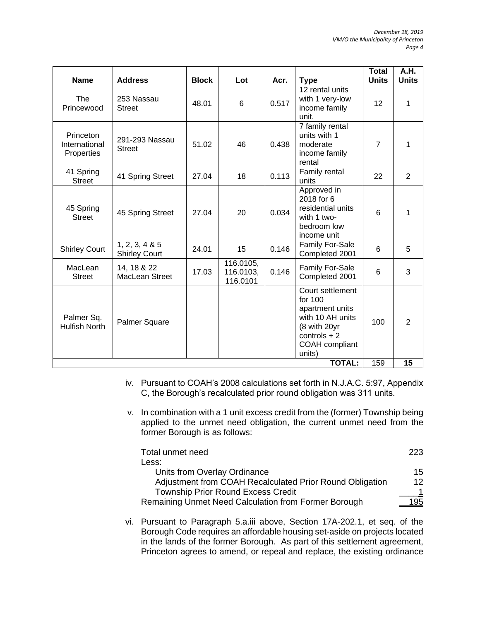| <b>Name</b>                              | <b>Address</b>                         | <b>Block</b> | Lot                                | Acr.  | <b>Type</b>                                                                                                                            | <b>Total</b><br><b>Units</b> | A.H.<br><b>Units</b> |
|------------------------------------------|----------------------------------------|--------------|------------------------------------|-------|----------------------------------------------------------------------------------------------------------------------------------------|------------------------------|----------------------|
| The<br>Princewood                        | 253 Nassau<br><b>Street</b>            | 48.01        | 6                                  | 0.517 | 12 rental units<br>with 1 very-low<br>income family<br>unit.                                                                           | 12                           | 1                    |
| Princeton<br>International<br>Properties | 291-293 Nassau<br><b>Street</b>        | 51.02        | 46                                 | 0.438 | 7 family rental<br>units with 1<br>moderate<br>income family<br>rental                                                                 | $\overline{7}$               | 1                    |
| 41 Spring<br><b>Street</b>               | 41 Spring Street                       | 27.04        | 18                                 | 0.113 | Family rental<br>units                                                                                                                 | 22                           | $\overline{2}$       |
| 45 Spring<br><b>Street</b>               | 45 Spring Street                       | 27.04        | 20                                 | 0.034 | Approved in<br>2018 for 6<br>residential units<br>with 1 two-<br>bedroom low<br>income unit                                            | 6                            | 1                    |
| <b>Shirley Court</b>                     | 1, 2, 3, 4 & 5<br><b>Shirley Court</b> | 24.01        | 15                                 | 0.146 | Family For-Sale<br>Completed 2001                                                                                                      | 6                            | 5                    |
| MacLean<br><b>Street</b>                 | 14, 18 & 22<br>MacLean Street          | 17.03        | 116.0105,<br>116.0103,<br>116.0101 | 0.146 | Family For-Sale<br>Completed 2001                                                                                                      | 6                            | 3                    |
| Palmer Sq.<br>Hulfish North              | <b>Palmer Square</b>                   |              |                                    |       | Court settlement<br>for 100<br>apartment units<br>with 10 AH units<br>(8 with 20yr<br>controls $+2$<br><b>COAH</b> compliant<br>units) | 100                          | 2                    |
|                                          |                                        |              |                                    |       | <b>TOTAL:</b>                                                                                                                          | 159                          | 15                   |

- iv. Pursuant to COAH's 2008 calculations set forth in N.J.A.C. 5:97, Appendix C, the Borough's recalculated prior round obligation was 311 units.
- v. In combination with a 1 unit excess credit from the (former) Township being applied to the unmet need obligation, the current unmet need from the former Borough is as follows:

| Total unmet need                                         | 223  |
|----------------------------------------------------------|------|
| Less:                                                    |      |
| Units from Overlay Ordinance                             | 15   |
| Adjustment from COAH Recalculated Prior Round Obligation | 12   |
| <b>Township Prior Round Excess Credit</b>                |      |
| Remaining Unmet Need Calculation from Former Borough     | 195. |

<span id="page-6-0"></span>vi. Pursuant to Paragraph [5.a.iii above,](#page-5-0) Section 17A-202.1, et seq. of the Borough Code requires an affordable housing set-aside on projects located in the lands of the former Borough. As part of this settlement agreement, Princeton agrees to amend, or repeal and replace, the existing ordinance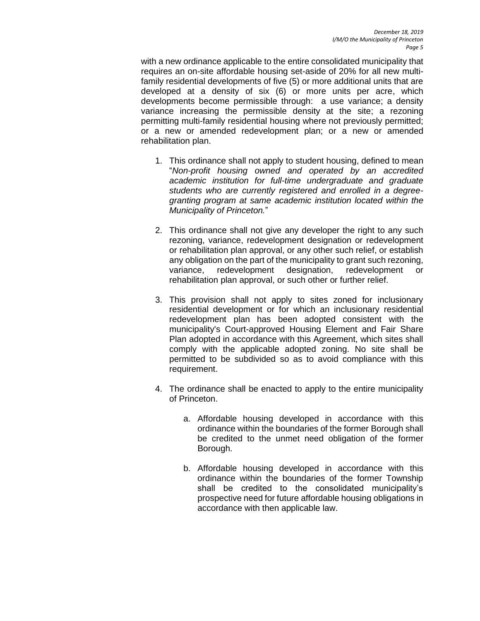with a new ordinance applicable to the entire consolidated municipality that requires an on-site affordable housing set-aside of 20% for all new multifamily residential developments of five (5) or more additional units that are developed at a density of six (6) or more units per acre, which developments become permissible through: a use variance; a density variance increasing the permissible density at the site; a rezoning permitting multi-family residential housing where not previously permitted; or a new or amended redevelopment plan; or a new or amended rehabilitation plan.

- 1. This ordinance shall not apply to student housing, defined to mean "*Non-profit housing owned and operated by an accredited academic institution for full-time undergraduate and graduate students who are currently registered and enrolled in a degreegranting program at same academic institution located within the Municipality of Princeton.*"
- 2. This ordinance shall not give any developer the right to any such rezoning, variance, redevelopment designation or redevelopment or rehabilitation plan approval, or any other such relief, or establish any obligation on the part of the municipality to grant such rezoning, variance, redevelopment designation, redevelopment or rehabilitation plan approval, or such other or further relief.
- 3. This provision shall not apply to sites zoned for inclusionary residential development or for which an inclusionary residential redevelopment plan has been adopted consistent with the municipality's Court-approved Housing Element and Fair Share Plan adopted in accordance with this Agreement, which sites shall comply with the applicable adopted zoning. No site shall be permitted to be subdivided so as to avoid compliance with this requirement.
- 4. The ordinance shall be enacted to apply to the entire municipality of Princeton.
	- a. Affordable housing developed in accordance with this ordinance within the boundaries of the former Borough shall be credited to the unmet need obligation of the former Borough.
	- b. Affordable housing developed in accordance with this ordinance within the boundaries of the former Township shall be credited to the consolidated municipality's prospective need for future affordable housing obligations in accordance with then applicable law.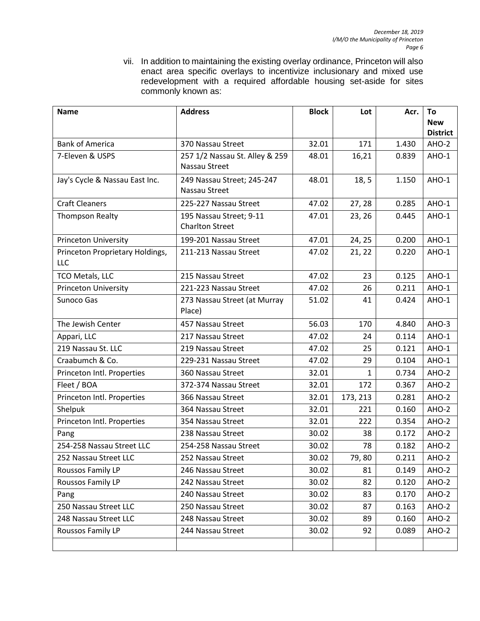vii. In addition to maintaining the existing overlay ordinance, Princeton will also enact area specific overlays to incentivize inclusionary and mixed use redevelopment with a required affordable housing set-aside for sites commonly known as:

<span id="page-8-0"></span>

| <b>Name</b>                     | <b>Address</b>                                                         | <b>Block</b> | Lot      | Acr.  | To<br><b>New</b> |  |
|---------------------------------|------------------------------------------------------------------------|--------------|----------|-------|------------------|--|
|                                 |                                                                        |              |          |       | <b>District</b>  |  |
| <b>Bank of America</b>          | 370 Nassau Street                                                      | 32.01        | 171      | 1.430 | AHO-2            |  |
| 7-Eleven & USPS                 | 257 1/2 Nassau St. Alley & 259                                         | 48.01        | 16,21    | 0.839 | AHO-1            |  |
|                                 | Nassau Street                                                          |              |          |       |                  |  |
| Jay's Cycle & Nassau East Inc.  | 249 Nassau Street; 245-247<br>48.01<br>18, 5<br>1.150<br>Nassau Street |              |          |       |                  |  |
| <b>Craft Cleaners</b>           | 225-227 Nassau Street                                                  | 47.02        | 27, 28   | 0.285 | AHO-1            |  |
| <b>Thompson Realty</b>          | 195 Nassau Street; 9-11<br><b>Charlton Street</b>                      | 47.01        | 23, 26   | 0.445 | AHO-1            |  |
| <b>Princeton University</b>     | 199-201 Nassau Street                                                  | 47.01        | 24, 25   | 0.200 | AHO-1            |  |
| Princeton Proprietary Holdings, | 211-213 Nassau Street                                                  | 47.02        | 21, 22   | 0.220 | AHO-1            |  |
| <b>LLC</b>                      |                                                                        |              |          |       |                  |  |
| TCO Metals, LLC                 | 215 Nassau Street                                                      | 47.02        | 23       | 0.125 | AHO-1            |  |
| <b>Princeton University</b>     | 221-223 Nassau Street                                                  | 47.02        | 26       | 0.211 | AHO-1            |  |
| Sunoco Gas                      | 273 Nassau Street (at Murray<br>Place)                                 | 51.02        | 41       | 0.424 | AHO-1            |  |
| The Jewish Center               | 457 Nassau Street                                                      | 56.03        | 170      | 4.840 | AHO-3            |  |
| Appari, LLC                     | 217 Nassau Street                                                      | 47.02        | 24       | 0.114 | AHO-1            |  |
| 219 Nassau St. LLC              | 219 Nassau Street                                                      | 47.02        | 25       | 0.121 | AHO-1            |  |
| Craabumch & Co.                 | 229-231 Nassau Street                                                  | 47.02        | 29       | 0.104 | AHO-1            |  |
| Princeton Intl. Properties      | 360 Nassau Street                                                      | 32.01        | 1        | 0.734 | AHO-2            |  |
| Fleet / BOA                     | 372-374 Nassau Street                                                  | 32.01        | 172      | 0.367 | AHO-2            |  |
| Princeton Intl. Properties      | 366 Nassau Street                                                      | 32.01        | 173, 213 | 0.281 | AHO-2            |  |
| Shelpuk                         | 364 Nassau Street                                                      | 32.01        | 221      | 0.160 | AHO-2            |  |
| Princeton Intl. Properties      | 354 Nassau Street                                                      | 32.01        | 222      | 0.354 | AHO-2            |  |
| Pang                            | 238 Nassau Street                                                      | 30.02        | 38       | 0.172 | AHO-2            |  |
| 254-258 Nassau Street LLC       | 254-258 Nassau Street                                                  | 30.02        | 78       | 0.182 | AHO-2            |  |
| 252 Nassau Street LLC           | 252 Nassau Street                                                      | 30.02        | 79,80    | 0.211 | AHO-2            |  |
| Roussos Family LP               | 246 Nassau Street                                                      | 30.02        | 81       | 0.149 | AHO-2            |  |
| Roussos Family LP               | 242 Nassau Street                                                      | 30.02        | 82       | 0.120 | AHO-2            |  |
| Pang                            | 240 Nassau Street                                                      | 30.02        | 83       | 0.170 | AHO-2            |  |
| 250 Nassau Street LLC           | 250 Nassau Street                                                      | 30.02        | 87       | 0.163 | AHO-2            |  |
| 248 Nassau Street LLC           | 248 Nassau Street                                                      | 30.02        | 89       | 0.160 | AHO-2            |  |
| Roussos Family LP               | 244 Nassau Street                                                      | 30.02        | 92       | 0.089 | AHO-2            |  |
|                                 |                                                                        |              |          |       |                  |  |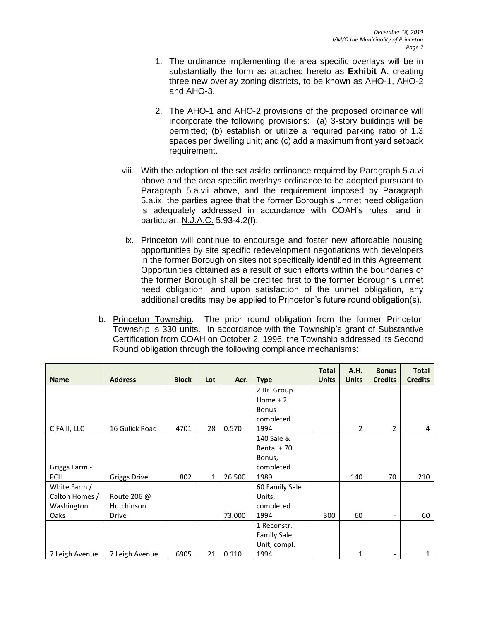- 1. The ordinance implementing the area specific overlays will be in substantially the form as attached hereto as **Exhibit A**, creating three new overlay zoning districts, to be known as AHO-1, AHO-2 and AHO-3.
- 2. The AHO-1 and AHO-2 provisions of the proposed ordinance will incorporate the following provisions: (a) 3-story buildings will be permitted; (b) establish or utilize a required parking ratio of 1.3 spaces per dwelling unit; and (c) add a maximum front yard setback requirement.
- viii. With the adoption of the set aside ordinance required by Paragraph [5.a.vi](#page-6-0) above and the area specific overlays ordinance to be adopted pursuant to Paragraph [5.a.vii above,](#page-8-0) and the requirement imposed by Paragraph [5.a.ix,](#page-9-0) the parties agree that the former Borough's unmet need obligation is adequately addressed in accordance with COAH's rules, and in particular, N.J.A.C. 5:93-4.2(f).
- <span id="page-9-0"></span>ix. Princeton will continue to encourage and foster new affordable housing opportunities by site specific redevelopment negotiations with developers in the former Borough on sites not specifically identified in this Agreement. Opportunities obtained as a result of such efforts within the boundaries of the former Borough shall be credited first to the former Borough's unmet need obligation, and upon satisfaction of the unmet obligation, any additional credits may be applied to Princeton's future round obligation(s).
- b. Princeton Township. The prior round obligation from the former Princeton Township is 330 units. In accordance with the Township's grant of Substantive Certification from COAH on October 2, 1996, the Township addressed its Second Round obligation through the following compliance mechanisms:

|                |                     |              |     |        |                    | <b>Total</b> | A.H.         | <b>Bonus</b>   | <b>Total</b>   |
|----------------|---------------------|--------------|-----|--------|--------------------|--------------|--------------|----------------|----------------|
| <b>Name</b>    | <b>Address</b>      | <b>Block</b> | Lot | Acr.   | <b>Type</b>        | <b>Units</b> | <b>Units</b> | <b>Credits</b> | <b>Credits</b> |
|                |                     |              |     |        | 2 Br. Group        |              |              |                |                |
|                |                     |              |     |        | Home $+2$          |              |              |                |                |
|                |                     |              |     |        | <b>Bonus</b>       |              |              |                |                |
|                |                     |              |     |        | completed          |              |              |                |                |
| CIFA II, LLC   | 16 Gulick Road      | 4701         | 28  | 0.570  | 1994               |              | 2            | 2              | 4              |
|                |                     |              |     |        | 140 Sale &         |              |              |                |                |
|                |                     |              |     |        | Rental $+70$       |              |              |                |                |
|                |                     |              |     |        | Bonus,             |              |              |                |                |
| Griggs Farm -  |                     |              |     |        | completed          |              |              |                |                |
| <b>PCH</b>     | <b>Griggs Drive</b> | 802          | 1   | 26.500 | 1989               |              | 140          | 70             | 210            |
| White Farm /   |                     |              |     |        | 60 Family Sale     |              |              |                |                |
| Calton Homes / | Route 206 @         |              |     |        | Units,             |              |              |                |                |
| Washington     | Hutchinson          |              |     |        | completed          |              |              |                |                |
| Oaks           | <b>Drive</b>        |              |     | 73.000 | 1994               | 300          | 60           | ٠              | 60             |
|                |                     |              |     |        | 1 Reconstr.        |              |              |                |                |
|                |                     |              |     |        | <b>Family Sale</b> |              |              |                |                |
|                |                     |              |     |        | Unit, compl.       |              |              |                |                |
| 7 Leigh Avenue | 7 Leigh Avenue      | 6905         | 21  | 0.110  | 1994               |              | 1            |                |                |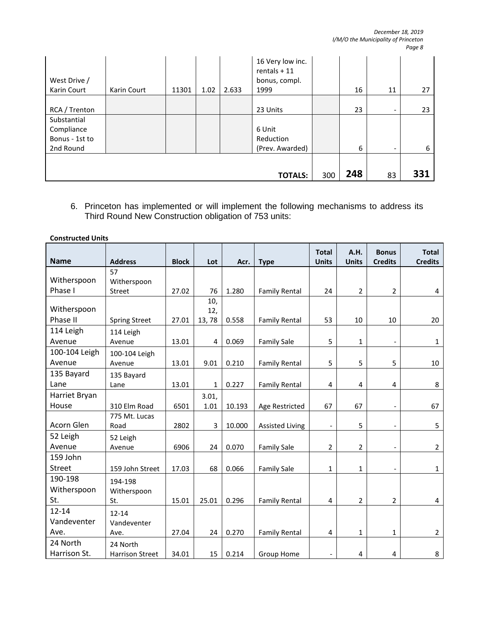| West Drive /<br>Karin Court | Karin Court | 11301 | 1.02 | 2.633 | 16 Very low inc.<br>rentals $+11$<br>bonus, compl.<br>1999 |     | 16  | 11                       | 27  |
|-----------------------------|-------------|-------|------|-------|------------------------------------------------------------|-----|-----|--------------------------|-----|
| RCA / Trenton               |             |       |      |       | 23 Units                                                   |     | 23  | $\overline{\phantom{a}}$ | 23  |
| Substantial                 |             |       |      |       |                                                            |     |     |                          |     |
| Compliance                  |             |       |      |       | 6 Unit                                                     |     |     |                          |     |
| Bonus - 1st to              |             |       |      |       | Reduction                                                  |     |     |                          |     |
| 2nd Round                   |             |       |      |       | (Prev. Awarded)                                            |     | 6   | $\overline{\phantom{0}}$ | 6   |
|                             |             |       |      |       |                                                            |     |     |                          |     |
|                             |             |       |      |       | <b>TOTALS:</b>                                             | 300 | 248 | 83                       | 331 |

<span id="page-10-0"></span>6. Princeton has implemented or will implement the following mechanisms to address its Third Round New Construction obligation of 753 units:

# **Constructed Units**

|               |                              |              |              |        |                        | <b>Total</b>                 | <b>A.H.</b>    | <b>Bonus</b>                 | <b>Total</b>   |
|---------------|------------------------------|--------------|--------------|--------|------------------------|------------------------------|----------------|------------------------------|----------------|
| <b>Name</b>   | <b>Address</b>               | <b>Block</b> | Lot          | Acr.   | <b>Type</b>            | <b>Units</b>                 | <b>Units</b>   | <b>Credits</b>               | <b>Credits</b> |
| Witherspoon   | 57                           |              |              |        |                        |                              |                |                              |                |
| Phase I       | Witherspoon<br><b>Street</b> | 27.02        | 76           | 1.280  |                        | 24                           | $\overline{2}$ | 2                            | 4              |
|               |                              |              | 10,          |        | <b>Family Rental</b>   |                              |                |                              |                |
| Witherspoon   |                              |              | 12,          |        |                        |                              |                |                              |                |
| Phase II      | <b>Spring Street</b>         | 27.01        | 13,78        | 0.558  | <b>Family Rental</b>   | 53                           | 10             | 10                           | 20             |
| 114 Leigh     | 114 Leigh                    |              |              |        |                        |                              |                |                              |                |
| Avenue        | Avenue                       | 13.01        | 4            | 0.069  | <b>Family Sale</b>     | 5                            | 1              | $\qquad \qquad \blacksquare$ | 1              |
| 100-104 Leigh | 100-104 Leigh                |              |              |        |                        |                              |                |                              |                |
| Avenue        | Avenue                       | 13.01        | 9.01         | 0.210  | <b>Family Rental</b>   | 5                            | 5              | 5                            | 10             |
| 135 Bayard    | 135 Bayard                   |              |              |        |                        |                              |                |                              |                |
| Lane          | Lane                         | 13.01        | $\mathbf{1}$ | 0.227  | <b>Family Rental</b>   | 4                            | 4              | 4                            | 8              |
| Harriet Bryan |                              |              | 3.01,        |        |                        |                              |                |                              |                |
| House         | 310 Elm Road                 | 6501         | 1.01         | 10.193 | Age Restricted         | 67                           | 67             | $\overline{\phantom{a}}$     | 67             |
|               | 775 Mt. Lucas                |              |              |        |                        |                              |                |                              |                |
| Acorn Glen    | Road                         | 2802         | 3            | 10.000 | <b>Assisted Living</b> | $\overline{\phantom{a}}$     | 5              | $\qquad \qquad \blacksquare$ | 5              |
| 52 Leigh      | 52 Leigh                     |              |              |        |                        |                              |                |                              |                |
| Avenue        | Avenue                       | 6906         | 24           | 0.070  | <b>Family Sale</b>     | $\overline{2}$               | 2              |                              | $\overline{2}$ |
| 159 John      |                              |              |              |        |                        |                              |                |                              |                |
| <b>Street</b> | 159 John Street              | 17.03        | 68           | 0.066  | <b>Family Sale</b>     | $\mathbf{1}$                 | 1              | $\overline{\phantom{0}}$     | $\mathbf{1}$   |
| 190-198       | 194-198                      |              |              |        |                        |                              |                |                              |                |
| Witherspoon   | Witherspoon                  |              |              |        |                        |                              |                |                              |                |
| St.           | St.                          | 15.01        | 25.01        | 0.296  | <b>Family Rental</b>   | 4                            | $\overline{2}$ | $\overline{2}$               | 4              |
| $12 - 14$     | $12 - 14$                    |              |              |        |                        |                              |                |                              |                |
| Vandeventer   | Vandeventer                  |              |              |        |                        |                              |                |                              |                |
| Ave.          | Ave.                         | 27.04        | 24           | 0.270  | <b>Family Rental</b>   | 4                            | 1              | $\mathbf{1}$                 | $\overline{2}$ |
| 24 North      | 24 North                     |              |              |        |                        |                              |                |                              |                |
| Harrison St.  | <b>Harrison Street</b>       | 34.01        | 15           | 0.214  | Group Home             | $\qquad \qquad \blacksquare$ | 4              | 4                            | 8              |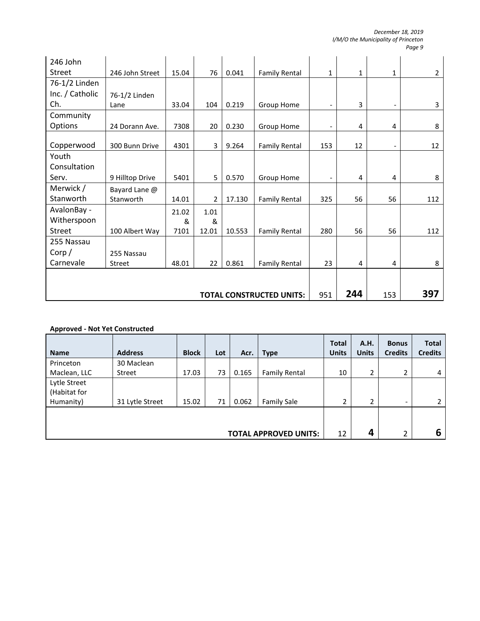| 246 John        |                 |       |                |        |                      |                          |             |                          |                |
|-----------------|-----------------|-------|----------------|--------|----------------------|--------------------------|-------------|--------------------------|----------------|
| <b>Street</b>   | 246 John Street | 15.04 | 76             | 0.041  | <b>Family Rental</b> | $\mathbf{1}$             | $\mathbf 1$ | $\mathbf{1}$             | $\overline{2}$ |
| 76-1/2 Linden   |                 |       |                |        |                      |                          |             |                          |                |
| Inc. / Catholic | 76-1/2 Linden   |       |                |        |                      |                          |             |                          |                |
| Ch.             | Lane            | 33.04 | 104            | 0.219  | Group Home           |                          | 3           | $\overline{\phantom{0}}$ | 3              |
| Community       |                 |       |                |        |                      |                          |             |                          |                |
| Options         | 24 Dorann Ave.  | 7308  | 20             | 0.230  | Group Home           | $\overline{\phantom{a}}$ | 4           | 4                        | 8              |
|                 |                 |       |                |        |                      |                          |             |                          |                |
| Copperwood      | 300 Bunn Drive  | 4301  | 3              | 9.264  | <b>Family Rental</b> | 153                      | 12          | $\overline{\phantom{0}}$ | 12             |
| Youth           |                 |       |                |        |                      |                          |             |                          |                |
| Consultation    |                 |       |                |        |                      |                          |             |                          |                |
| Serv.           | 9 Hilltop Drive | 5401  | 5              | 0.570  | Group Home           | $\overline{\phantom{a}}$ | 4           | 4                        | 8              |
| Merwick /       | Bayard Lane @   |       |                |        |                      |                          |             |                          |                |
| Stanworth       | Stanworth       | 14.01 | $\overline{2}$ | 17.130 | <b>Family Rental</b> | 325                      | 56          | 56                       | 112            |
| AvalonBay -     |                 | 21.02 | 1.01           |        |                      |                          |             |                          |                |
| Witherspoon     |                 | &     | &              |        |                      |                          |             |                          |                |
| Street          | 100 Albert Way  | 7101  | 12.01          | 10.553 | <b>Family Rental</b> | 280                      | 56          | 56                       | 112            |
| 255 Nassau      |                 |       |                |        |                      |                          |             |                          |                |
| Corp/           | 255 Nassau      |       |                |        |                      |                          |             |                          |                |
| Carnevale       | Street          | 48.01 | 22             | 0.861  | <b>Family Rental</b> | 23                       | 4           | 4                        | 8              |
|                 |                 |       |                |        |                      |                          |             |                          |                |
|                 |                 |       |                |        |                      |                          |             |                          |                |
|                 |                 | 951   | 244            | 153    | 397                  |                          |             |                          |                |

# **Approved - Not Yet Constructed**

| <b>Name</b>                               | <b>Address</b>  | <b>Block</b> | Lot | Acr.  | <b>Type</b>          | <b>Total</b><br><b>Units</b> | A.H.<br><b>Units</b> | <b>Bonus</b><br><b>Credits</b> | <b>Total</b><br><b>Credits</b> |
|-------------------------------------------|-----------------|--------------|-----|-------|----------------------|------------------------------|----------------------|--------------------------------|--------------------------------|
| Princeton                                 | 30 Maclean      |              |     |       |                      |                              |                      |                                |                                |
| Maclean, LLC                              | Street          | 17.03        | 73  | 0.165 | <b>Family Rental</b> | 10                           | $\overline{2}$       | $\overline{2}$                 | 4                              |
| Lytle Street<br>(Habitat for<br>Humanity) | 31 Lytle Street | 15.02        | 71  | 0.062 | <b>Family Sale</b>   | 2                            | 2                    | $\overline{\phantom{0}}$       |                                |
|                                           | 12              | 4            | າ   | 6     |                      |                              |                      |                                |                                |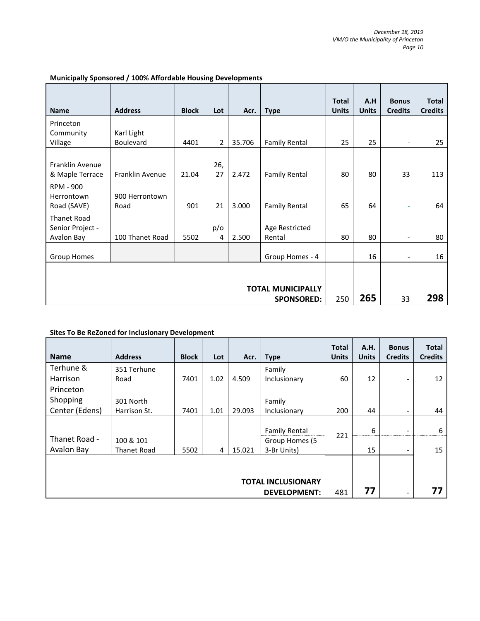| <b>Name</b>                        | <b>Address</b>          | <b>Block</b> | Lot            | Acr.   | <b>Type</b>              | <b>Total</b><br><b>Units</b> | A.H<br><b>Units</b> | <b>Bonus</b><br><b>Credits</b> | <b>Total</b><br><b>Credits</b> |
|------------------------------------|-------------------------|--------------|----------------|--------|--------------------------|------------------------------|---------------------|--------------------------------|--------------------------------|
| Princeton                          |                         |              |                |        |                          |                              |                     |                                |                                |
| Community<br>Village               | Karl Light<br>Boulevard | 4401         | $\overline{2}$ | 35.706 | <b>Family Rental</b>     | 25                           | 25                  | $\overline{\phantom{a}}$       | 25                             |
|                                    |                         |              |                |        |                          |                              |                     |                                |                                |
| Franklin Avenue<br>& Maple Terrace | <b>Franklin Avenue</b>  | 21.04        | 26,<br>27      | 2.472  | <b>Family Rental</b>     | 80                           | 80                  | 33                             | 113                            |
| RPM - 900                          |                         |              |                |        |                          |                              |                     |                                |                                |
| Herrontown<br>Road (SAVE)          | 900 Herrontown<br>Road  | 901          | 21             | 3.000  | <b>Family Rental</b>     | 65                           | 64                  | ÷                              | 64                             |
| <b>Thanet Road</b>                 |                         |              |                |        |                          |                              |                     |                                |                                |
| Senior Project -<br>Avalon Bay     | 100 Thanet Road         | 5502         | p/o<br>4       | 2.500  | Age Restricted<br>Rental | 80                           | 80                  | $\overline{\phantom{a}}$       | 80                             |
| <b>Group Homes</b>                 |                         |              |                |        | Group Homes - 4          |                              | 16                  | $\overline{\phantom{a}}$       | 16                             |
|                                    |                         |              |                |        |                          |                              |                     |                                |                                |
|                                    |                         |              |                |        | <b>TOTAL MUNICIPALLY</b> |                              |                     |                                |                                |
|                                    |                         |              |                |        | <b>SPONSORED:</b>        | 250                          | 265                 | 33                             | 298                            |

# **Municipally Sponsored / 100% Affordable Housing Developments**

# **Sites To Be ReZoned for Inclusionary Development**

| <b>Name</b>    | <b>Address</b>     | <b>Block</b> | Lot            | Acr.   | <b>Type</b>                                      | <b>Total</b><br><b>Units</b> | A.H.<br><b>Units</b> | <b>Bonus</b><br><b>Credits</b> | <b>Total</b><br><b>Credits</b> |
|----------------|--------------------|--------------|----------------|--------|--------------------------------------------------|------------------------------|----------------------|--------------------------------|--------------------------------|
| Terhune &      | 351 Terhune        |              |                |        | Family                                           |                              |                      |                                |                                |
| Harrison       | Road               | 7401         | 1.02           | 4.509  | Inclusionary                                     | 60                           | 12                   | $\overline{\phantom{a}}$       | 12                             |
| Princeton      |                    |              |                |        |                                                  |                              |                      |                                |                                |
| Shopping       | 301 North          |              |                |        | Family                                           |                              |                      |                                |                                |
| Center (Edens) | Harrison St.       | 7401         | 1.01           | 29.093 | Inclusionary                                     | 200                          | 44                   | $\overline{\phantom{a}}$       | 44                             |
|                |                    |              |                |        | <b>Family Rental</b>                             |                              | 6                    | $\overline{\phantom{a}}$       | 6                              |
| Thanet Road -  | 100 & 101          |              |                |        | Group Homes (5                                   | 221                          |                      |                                |                                |
| Avalon Bay     | <b>Thanet Road</b> | 5502         | $\overline{4}$ | 15.021 | 3-Br Units)                                      |                              | 15                   | $\overline{\phantom{a}}$       | 15                             |
|                |                    |              |                |        | <b>TOTAL INCLUSIONARY</b><br><b>DEVELOPMENT:</b> | 481                          | 77                   | $\overline{\phantom{0}}$       | 77                             |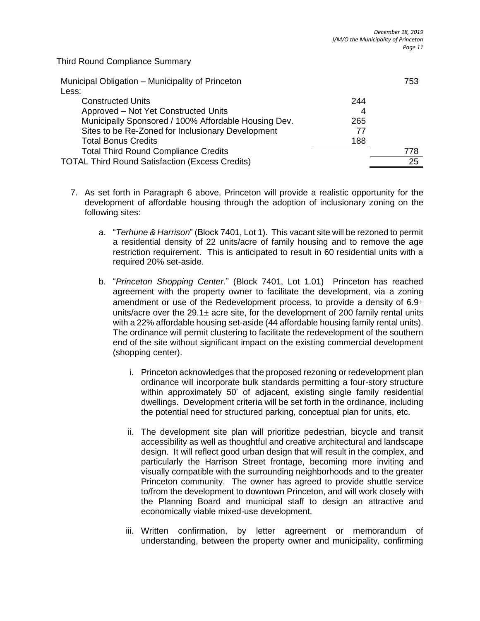| Municipal Obligation - Municipality of Princeton       |     | 753  |
|--------------------------------------------------------|-----|------|
| Less:                                                  |     |      |
| <b>Constructed Units</b>                               | 244 |      |
| Approved - Not Yet Constructed Units                   | 4   |      |
| Municipally Sponsored / 100% Affordable Housing Dev.   | 265 |      |
| Sites to be Re-Zoned for Inclusionary Development      | 77  |      |
| <b>Total Bonus Credits</b>                             | 188 |      |
| <b>Total Third Round Compliance Credits</b>            |     | 778. |
| <b>TOTAL Third Round Satisfaction (Excess Credits)</b> |     | 25   |

Third Round Compliance Summary

- 7. As set forth in Paragraph [6 above,](#page-10-0) Princeton will provide a realistic opportunity for the development of affordable housing through the adoption of inclusionary zoning on the following sites:
	- a. "*Terhune & Harrison*" (Block 7401, Lot 1). This vacant site will be rezoned to permit a residential density of 22 units/acre of family housing and to remove the age restriction requirement. This is anticipated to result in 60 residential units with a required 20% set-aside.
	- b. "*Princeton Shopping Center.*" (Block 7401, Lot 1.01) Princeton has reached agreement with the property owner to facilitate the development, via a zoning amendment or use of the Redevelopment process, to provide a density of 6.9 $\pm$ units/acre over the  $29.1<sub>\pm</sub>$  acre site, for the development of 200 family rental units with a 22% affordable housing set-aside (44 affordable housing family rental units). The ordinance will permit clustering to facilitate the redevelopment of the southern end of the site without significant impact on the existing commercial development (shopping center).
		- i. Princeton acknowledges that the proposed rezoning or redevelopment plan ordinance will incorporate bulk standards permitting a four-story structure within approximately 50' of adjacent, existing single family residential dwellings. Development criteria will be set forth in the ordinance, including the potential need for structured parking, conceptual plan for units, etc.
		- ii. The development site plan will prioritize pedestrian, bicycle and transit accessibility as well as thoughtful and creative architectural and landscape design. It will reflect good urban design that will result in the complex, and particularly the Harrison Street frontage, becoming more inviting and visually compatible with the surrounding neighborhoods and to the greater Princeton community. The owner has agreed to provide shuttle service to/from the development to downtown Princeton, and will work closely with the Planning Board and municipal staff to design an attractive and economically viable mixed-use development.
		- iii. Written confirmation, by letter agreement or memorandum of understanding, between the property owner and municipality, confirming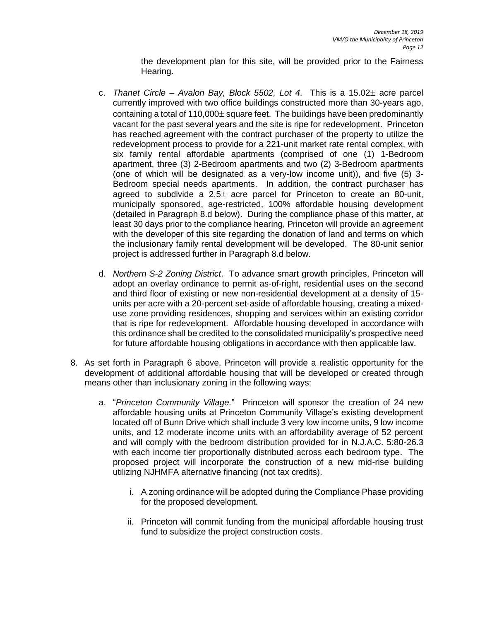the development plan for this site, will be provided prior to the Fairness Hearing.

- c. *Thanet Circle Avalon Bay, Block 5502, Lot 4*. This is a 15.02 $\pm$  acre parcel currently improved with two office buildings constructed more than 30-years ago, containing a total of  $110,000<sub>\pm</sub>$  square feet. The buildings have been predominantly vacant for the past several years and the site is ripe for redevelopment. Princeton has reached agreement with the contract purchaser of the property to utilize the redevelopment process to provide for a 221-unit market rate rental complex, with six family rental affordable apartments (comprised of one (1) 1-Bedroom apartment, three (3) 2-Bedroom apartments and two (2) 3-Bedroom apartments (one of which will be designated as a very-low income unit)), and five (5) 3- Bedroom special needs apartments. In addition, the contract purchaser has agreed to subdivide a  $2.5\pm$  acre parcel for Princeton to create an 80-unit, municipally sponsored, age-restricted, 100% affordable housing development (detailed in Paragraph [8.d below\)](#page-16-0). During the compliance phase of this matter, at least 30 days prior to the compliance hearing, Princeton will provide an agreement with the developer of this site regarding the donation of land and terms on which the inclusionary family rental development will be developed. The 80-unit senior project is addressed further in Paragraph [8.d](#page-16-0) below.
- <span id="page-14-0"></span>d. *Northern S-2 Zoning District*. To advance smart growth principles, Princeton will adopt an overlay ordinance to permit as-of-right, residential uses on the second and third floor of existing or new non-residential development at a density of 15 units per acre with a 20-percent set-aside of affordable housing, creating a mixeduse zone providing residences, shopping and services within an existing corridor that is ripe for redevelopment. Affordable housing developed in accordance with this ordinance shall be credited to the consolidated municipality's prospective need for future affordable housing obligations in accordance with then applicable law.
- <span id="page-14-1"></span>8. As set forth in Paragraph [6 above,](#page-10-0) Princeton will provide a realistic opportunity for the development of additional affordable housing that will be developed or created through means other than inclusionary zoning in the following ways:
	- a. "*Princeton Community Village.*" Princeton will sponsor the creation of 24 new affordable housing units at Princeton Community Village's existing development located off of Bunn Drive which shall include 3 very low income units, 9 low income units, and 12 moderate income units with an affordability average of 52 percent and will comply with the bedroom distribution provided for in N.J.A.C. 5:80-26.3 with each income tier proportionally distributed across each bedroom type. The proposed project will incorporate the construction of a new mid-rise building utilizing NJHMFA alternative financing (not tax credits).
		- i. A zoning ordinance will be adopted during the Compliance Phase providing for the proposed development.
		- ii. Princeton will commit funding from the municipal affordable housing trust fund to subsidize the project construction costs.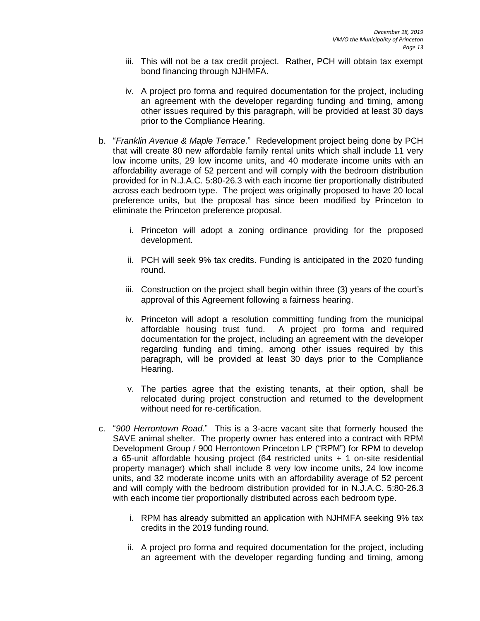- iii. This will not be a tax credit project. Rather, PCH will obtain tax exempt bond financing through NJHMFA.
- iv. A project pro forma and required documentation for the project, including an agreement with the developer regarding funding and timing, among other issues required by this paragraph, will be provided at least 30 days prior to the Compliance Hearing.
- <span id="page-15-0"></span>b. "*Franklin Avenue & Maple Terrace.*" Redevelopment project being done by PCH that will create 80 new affordable family rental units which shall include 11 very low income units, 29 low income units, and 40 moderate income units with an affordability average of 52 percent and will comply with the bedroom distribution provided for in N.J.A.C. 5:80-26.3 with each income tier proportionally distributed across each bedroom type. The project was originally proposed to have 20 local preference units, but the proposal has since been modified by Princeton to eliminate the Princeton preference proposal.
	- i. Princeton will adopt a zoning ordinance providing for the proposed development.
	- ii. PCH will seek 9% tax credits. Funding is anticipated in the 2020 funding round.
	- iii. Construction on the project shall begin within three (3) years of the court's approval of this Agreement following a fairness hearing.
	- iv. Princeton will adopt a resolution committing funding from the municipal affordable housing trust fund. A project pro forma and required documentation for the project, including an agreement with the developer regarding funding and timing, among other issues required by this paragraph, will be provided at least 30 days prior to the Compliance Hearing.
	- v. The parties agree that the existing tenants, at their option, shall be relocated during project construction and returned to the development without need for re-certification.
- c. "*900 Herrontown Road.*" This is a 3-acre vacant site that formerly housed the SAVE animal shelter. The property owner has entered into a contract with RPM Development Group / 900 Herrontown Princeton LP ("RPM") for RPM to develop a 65-unit affordable housing project (64 restricted units + 1 on-site residential property manager) which shall include 8 very low income units, 24 low income units, and 32 moderate income units with an affordability average of 52 percent and will comply with the bedroom distribution provided for in N.J.A.C. 5:80-26.3 with each income tier proportionally distributed across each bedroom type.
	- i. RPM has already submitted an application with NJHMFA seeking 9% tax credits in the 2019 funding round.
	- ii. A project pro forma and required documentation for the project, including an agreement with the developer regarding funding and timing, among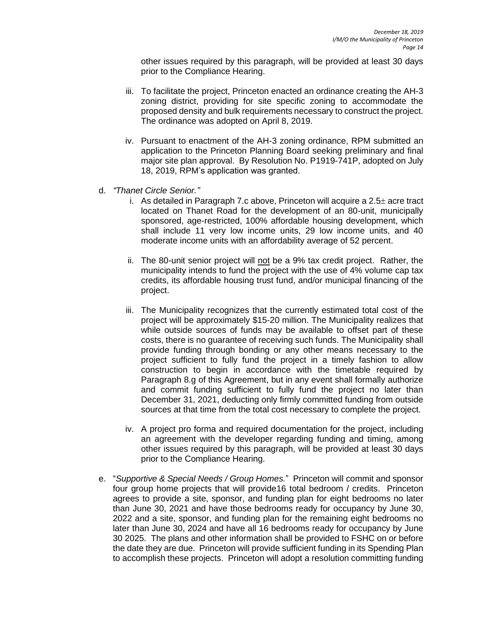other issues required by this paragraph, will be provided at least 30 days prior to the Compliance Hearing.

- iii. To facilitate the project, Princeton enacted an ordinance creating the AH-3 zoning district, providing for site specific zoning to accommodate the proposed density and bulk requirements necessary to construct the project. The ordinance was adopted on April 8, 2019.
- iv. Pursuant to enactment of the AH-3 zoning ordinance, RPM submitted an application to the Princeton Planning Board seeking preliminary and final major site plan approval. By Resolution No. P1919-741P, adopted on July 18, 2019, RPM's application was granted.
- <span id="page-16-0"></span>d. *"Thanet Circle Senior."*
	- i. As detailed in Paragraph [7.c above,](#page-14-0) Princeton will acquire a  $2.5\pm$  acre tract located on Thanet Road for the development of an 80-unit, municipally sponsored, age-restricted, 100% affordable housing development, which shall include 11 very low income units, 29 low income units, and 40 moderate income units with an affordability average of 52 percent.
	- ii. The 80-unit senior project will not be a 9% tax credit project. Rather, the municipality intends to fund the project with the use of 4% volume cap tax credits, its affordable housing trust fund, and/or municipal financing of the project.
	- iii. The Municipality recognizes that the currently estimated total cost of the project will be approximately \$15-20 million. The Municipality realizes that while outside sources of funds may be available to offset part of these costs, there is no guarantee of receiving such funds. The Municipality shall provide funding through bonding or any other means necessary to the project sufficient to fully fund the project in a timely fashion to allow construction to begin in accordance with the timetable required by Paragraph [8.g](#page-17-0) of this Agreement, but in any event shall formally authorize and commit funding sufficient to fully fund the project no later than December 31, 2021, deducting only firmly committed funding from outside sources at that time from the total cost necessary to complete the project.
	- iv. A project pro forma and required documentation for the project, including an agreement with the developer regarding funding and timing, among other issues required by this paragraph, will be provided at least 30 days prior to the Compliance Hearing.
- <span id="page-16-1"></span>e. "*Supportive & Special Needs / Group Homes.*" Princeton will commit and sponsor four group home projects that will provide16 total bedroom / credits. Princeton agrees to provide a site, sponsor, and funding plan for eight bedrooms no later than June 30, 2021 and have those bedrooms ready for occupancy by June 30, 2022 and a site, sponsor, and funding plan for the remaining eight bedrooms no later than June 30, 2024 and have all 16 bedrooms ready for occupancy by June 30 2025. The plans and other information shall be provided to FSHC on or before the date they are due. Princeton will provide sufficient funding in its Spending Plan to accomplish these projects. Princeton will adopt a resolution committing funding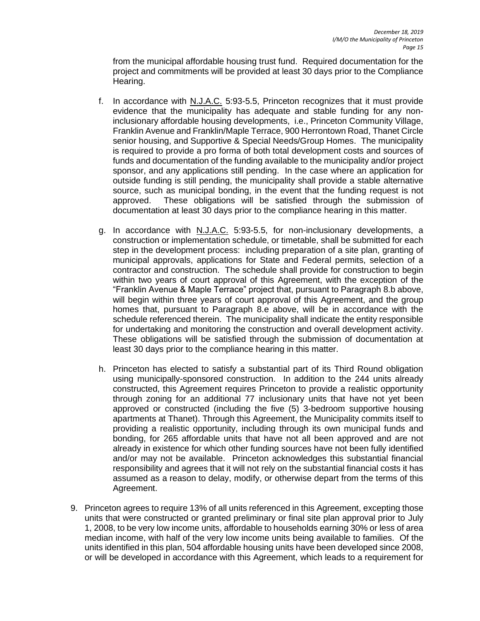from the municipal affordable housing trust fund. Required documentation for the project and commitments will be provided at least 30 days prior to the Compliance Hearing.

- f. In accordance with N.J.A.C. 5:93-5.5, Princeton recognizes that it must provide evidence that the municipality has adequate and stable funding for any noninclusionary affordable housing developments, i.e., Princeton Community Village, Franklin Avenue and Franklin/Maple Terrace, 900 Herrontown Road, Thanet Circle senior housing, and Supportive & Special Needs/Group Homes. The municipality is required to provide a pro forma of both total development costs and sources of funds and documentation of the funding available to the municipality and/or project sponsor, and any applications still pending. In the case where an application for outside funding is still pending, the municipality shall provide a stable alternative source, such as municipal bonding, in the event that the funding request is not approved. These obligations will be satisfied through the submission of documentation at least 30 days prior to the compliance hearing in this matter.
- <span id="page-17-0"></span>g. In accordance with N.J.A.C. 5:93-5.5, for non-inclusionary developments, a construction or implementation schedule, or timetable, shall be submitted for each step in the development process: including preparation of a site plan, granting of municipal approvals, applications for State and Federal permits, selection of a contractor and construction. The schedule shall provide for construction to begin within two years of court approval of this Agreement, with the exception of the "Franklin Avenue & Maple Terrace" project that, pursuant to Paragraph [8.b above,](#page-15-0) will begin within three years of court approval of this Agreement, and the group homes that, pursuant to Paragraph [8.e](#page-16-1) above, will be in accordance with the schedule referenced therein. The municipality shall indicate the entity responsible for undertaking and monitoring the construction and overall development activity. These obligations will be satisfied through the submission of documentation at least 30 days prior to the compliance hearing in this matter.
- h. Princeton has elected to satisfy a substantial part of its Third Round obligation using municipally-sponsored construction. In addition to the 244 units already constructed, this Agreement requires Princeton to provide a realistic opportunity through zoning for an additional 77 inclusionary units that have not yet been approved or constructed (including the five (5) 3-bedroom supportive housing apartments at Thanet). Through this Agreement, the Municipality commits itself to providing a realistic opportunity, including through its own municipal funds and bonding, for 265 affordable units that have not all been approved and are not already in existence for which other funding sources have not been fully identified and/or may not be available. Princeton acknowledges this substantial financial responsibility and agrees that it will not rely on the substantial financial costs it has assumed as a reason to delay, modify, or otherwise depart from the terms of this Agreement.
- 9. Princeton agrees to require 13% of all units referenced in this Agreement, excepting those units that were constructed or granted preliminary or final site plan approval prior to July 1, 2008, to be very low income units, affordable to households earning 30% or less of area median income, with half of the very low income units being available to families. Of the units identified in this plan, 504 affordable housing units have been developed since 2008, or will be developed in accordance with this Agreement, which leads to a requirement for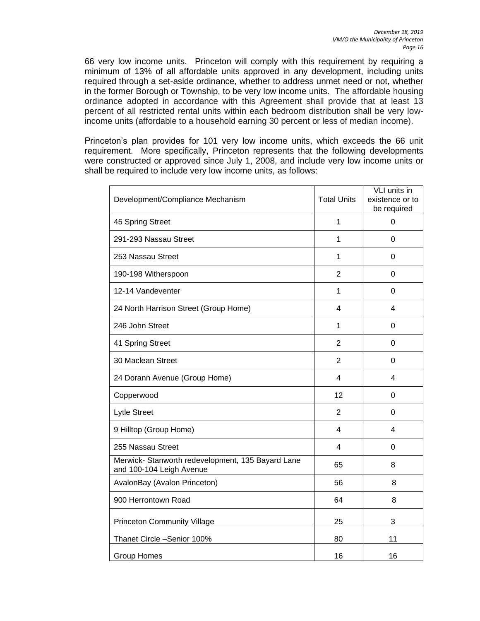66 very low income units. Princeton will comply with this requirement by requiring a minimum of 13% of all affordable units approved in any development, including units required through a set-aside ordinance, whether to address unmet need or not, whether in the former Borough or Township, to be very low income units. The affordable housing ordinance adopted in accordance with this Agreement shall provide that at least 13 percent of all restricted rental units within each bedroom distribution shall be very lowincome units (affordable to a household earning 30 percent or less of median income).

Princeton's plan provides for 101 very low income units, which exceeds the 66 unit requirement. More specifically, Princeton represents that the following developments were constructed or approved since July 1, 2008, and include very low income units or shall be required to include very low income units, as follows:

| Development/Compliance Mechanism                                              | <b>Total Units</b> | VLI units in<br>existence or to<br>be required |
|-------------------------------------------------------------------------------|--------------------|------------------------------------------------|
| 45 Spring Street                                                              | 1                  | $\mathbf 0$                                    |
| 291-293 Nassau Street                                                         | 1                  | $\overline{0}$                                 |
| 253 Nassau Street                                                             | 1                  | 0                                              |
| 190-198 Witherspoon                                                           | $\overline{2}$     | 0                                              |
| 12-14 Vandeventer                                                             | 1                  | 0                                              |
| 24 North Harrison Street (Group Home)                                         | 4                  | 4                                              |
| 246 John Street                                                               | 1                  | $\overline{0}$                                 |
| 41 Spring Street                                                              | $\overline{2}$     | 0                                              |
| 30 Maclean Street                                                             | $\overline{2}$     | $\overline{0}$                                 |
| 24 Dorann Avenue (Group Home)                                                 | 4                  | 4                                              |
| Copperwood                                                                    | 12                 | 0                                              |
| Lytle Street                                                                  | $\overline{2}$     | 0                                              |
| 9 Hilltop (Group Home)                                                        | 4                  | 4                                              |
| 255 Nassau Street                                                             | 4                  | $\Omega$                                       |
| Merwick- Stanworth redevelopment, 135 Bayard Lane<br>and 100-104 Leigh Avenue | 65                 | 8                                              |
| AvalonBay (Avalon Princeton)                                                  | 56                 | 8                                              |
| 900 Herrontown Road                                                           | 64                 | 8                                              |
| <b>Princeton Community Village</b>                                            | 25                 | 3                                              |
| Thanet Circle -Senior 100%                                                    | 80                 | 11                                             |
| <b>Group Homes</b>                                                            | 16                 | 16                                             |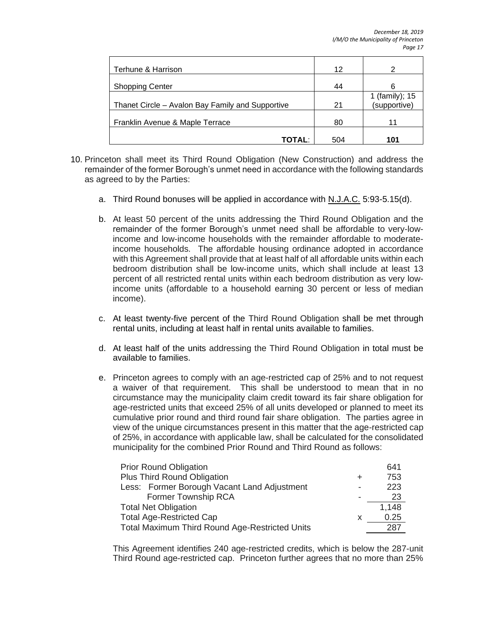| Terhune & Harrison                               | 12  | っ                              |
|--------------------------------------------------|-----|--------------------------------|
| <b>Shopping Center</b>                           | 44  | 6                              |
| Thanet Circle – Avalon Bay Family and Supportive | 21  | 1 (family); 15<br>(supportive) |
| Franklin Avenue & Maple Terrace                  | 80  | 11                             |
| ΤΟΤΑL:                                           | 504 | 101                            |

- 10. Princeton shall meet its Third Round Obligation (New Construction) and address the remainder of the former Borough's unmet need in accordance with the following standards as agreed to by the Parties:
	- a. Third Round bonuses will be applied in accordance with N.J.A.C. 5:93-5.15(d).
	- b. At least 50 percent of the units addressing the Third Round Obligation and the remainder of the former Borough's unmet need shall be affordable to very-lowincome and low-income households with the remainder affordable to moderateincome households. The affordable housing ordinance adopted in accordance with this Agreement shall provide that at least half of all affordable units within each bedroom distribution shall be low-income units, which shall include at least 13 percent of all restricted rental units within each bedroom distribution as very lowincome units (affordable to a household earning 30 percent or less of median income).
	- c. At least twenty-five percent of the Third Round Obligation shall be met through rental units, including at least half in rental units available to families.
	- d. At least half of the units addressing the Third Round Obligation in total must be available to families.
	- e. Princeton agrees to comply with an age-restricted cap of 25% and to not request a waiver of that requirement. This shall be understood to mean that in no circumstance may the municipality claim credit toward its fair share obligation for age-restricted units that exceed 25% of all units developed or planned to meet its cumulative prior round and third round fair share obligation. The parties agree in view of the unique circumstances present in this matter that the age-restricted cap of 25%, in accordance with applicable law, shall be calculated for the consolidated municipality for the combined Prior Round and Third Round as follows:

| <b>Prior Round Obligation</b>                    | 641   |
|--------------------------------------------------|-------|
| <b>Plus Third Round Obligation</b>               | 753   |
| Less: Former Borough Vacant Land Adjustment<br>- | 223   |
| Former Township RCA                              | 23    |
| <b>Total Net Obligation</b>                      | 1,148 |
| <b>Total Age-Restricted Cap</b><br>x             | 0.25  |
| Total Maximum Third Round Age-Restricted Units   | 287   |

This Agreement identifies 240 age-restricted credits, which is below the 287-unit Third Round age-restricted cap. Princeton further agrees that no more than 25%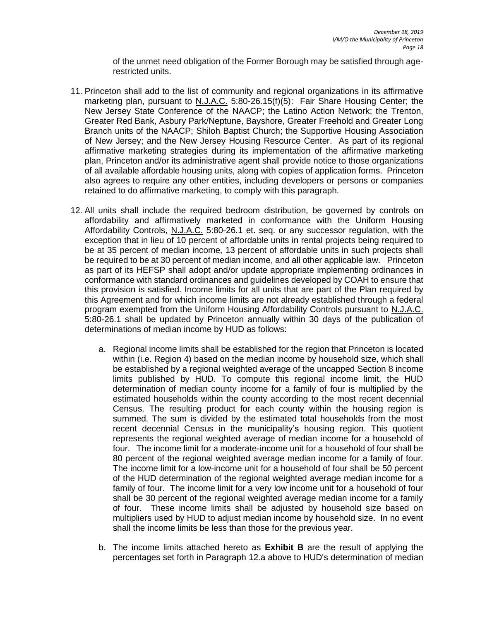of the unmet need obligation of the Former Borough may be satisfied through agerestricted units.

- 11. Princeton shall add to the list of community and regional organizations in its affirmative marketing plan, pursuant to N.J.A.C. 5:80-26.15(f)(5): Fair Share Housing Center; the New Jersey State Conference of the NAACP; the Latino Action Network; the Trenton, Greater Red Bank, Asbury Park/Neptune, Bayshore, Greater Freehold and Greater Long Branch units of the NAACP; Shiloh Baptist Church; the Supportive Housing Association of New Jersey; and the New Jersey Housing Resource Center. As part of its regional affirmative marketing strategies during its implementation of the affirmative marketing plan, Princeton and/or its administrative agent shall provide notice to those organizations of all available affordable housing units, along with copies of application forms. Princeton also agrees to require any other entities, including developers or persons or companies retained to do affirmative marketing, to comply with this paragraph.
- <span id="page-20-0"></span>12. All units shall include the required bedroom distribution, be governed by controls on affordability and affirmatively marketed in conformance with the Uniform Housing Affordability Controls, N.J.A.C. 5:80-26.1 et. seq. or any successor regulation, with the exception that in lieu of 10 percent of affordable units in rental projects being required to be at 35 percent of median income, 13 percent of affordable units in such projects shall be required to be at 30 percent of median income, and all other applicable law. Princeton as part of its HEFSP shall adopt and/or update appropriate implementing ordinances in conformance with standard ordinances and guidelines developed by COAH to ensure that this provision is satisfied. Income limits for all units that are part of the Plan required by this Agreement and for which income limits are not already established through a federal program exempted from the Uniform Housing Affordability Controls pursuant to N.J.A.C. 5:80-26.1 shall be updated by Princeton annually within 30 days of the publication of determinations of median income by HUD as follows:
	- a. Regional income limits shall be established for the region that Princeton is located within (i.e. Region 4) based on the median income by household size, which shall be established by a regional weighted average of the uncapped Section 8 income limits published by HUD. To compute this regional income limit, the HUD determination of median county income for a family of four is multiplied by the estimated households within the county according to the most recent decennial Census. The resulting product for each county within the housing region is summed. The sum is divided by the estimated total households from the most recent decennial Census in the municipality's housing region. This quotient represents the regional weighted average of median income for a household of four. The income limit for a moderate-income unit for a household of four shall be 80 percent of the regional weighted average median income for a family of four. The income limit for a low-income unit for a household of four shall be 50 percent of the HUD determination of the regional weighted average median income for a family of four. The income limit for a very low income unit for a household of four shall be 30 percent of the regional weighted average median income for a family of four. These income limits shall be adjusted by household size based on multipliers used by HUD to adjust median income by household size. In no event shall the income limits be less than those for the previous year.
	- b. The income limits attached hereto as **Exhibit B** are the result of applying the percentages set forth in Paragraph [12.a above](#page-20-0) to HUD's determination of median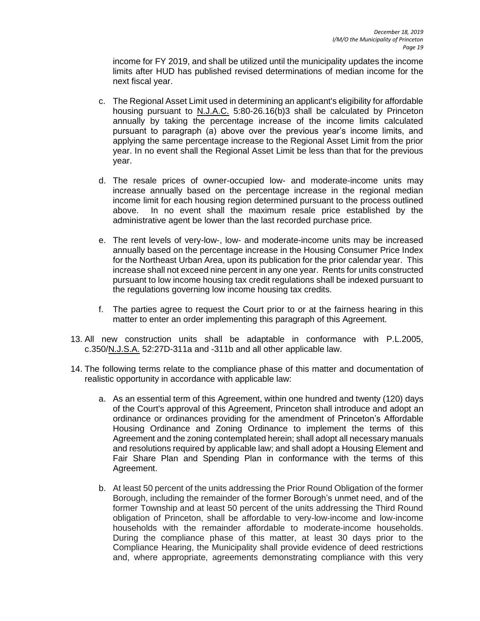income for FY 2019, and shall be utilized until the municipality updates the income limits after HUD has published revised determinations of median income for the next fiscal year.

- c. The Regional Asset Limit used in determining an applicant's eligibility for affordable housing pursuant to N.J.A.C. 5:80-26.16(b)3 shall be calculated by Princeton annually by taking the percentage increase of the income limits calculated pursuant to paragraph (a) above over the previous year's income limits, and applying the same percentage increase to the Regional Asset Limit from the prior year. In no event shall the Regional Asset Limit be less than that for the previous year.
- d. The resale prices of owner-occupied low- and moderate-income units may increase annually based on the percentage increase in the regional median income limit for each housing region determined pursuant to the process outlined above. In no event shall the maximum resale price established by the administrative agent be lower than the last recorded purchase price.
- e. The rent levels of very-low-, low- and moderate-income units may be increased annually based on the percentage increase in the Housing Consumer Price Index for the Northeast Urban Area, upon its publication for the prior calendar year. This increase shall not exceed nine percent in any one year. Rents for units constructed pursuant to low income housing tax credit regulations shall be indexed pursuant to the regulations governing low income housing tax credits.
- f. The parties agree to request the Court prior to or at the fairness hearing in this matter to enter an order implementing this paragraph of this Agreement.
- 13. All new construction units shall be adaptable in conformance with P.L.2005, c.350/N.J.S.A. 52:27D-311a and -311b and all other applicable law.
- 14. The following terms relate to the compliance phase of this matter and documentation of realistic opportunity in accordance with applicable law:
	- a. As an essential term of this Agreement, within one hundred and twenty (120) days of the Court's approval of this Agreement, Princeton shall introduce and adopt an ordinance or ordinances providing for the amendment of Princeton's Affordable Housing Ordinance and Zoning Ordinance to implement the terms of this Agreement and the zoning contemplated herein; shall adopt all necessary manuals and resolutions required by applicable law; and shall adopt a Housing Element and Fair Share Plan and Spending Plan in conformance with the terms of this Agreement.
	- b. At least 50 percent of the units addressing the Prior Round Obligation of the former Borough, including the remainder of the former Borough's unmet need, and of the former Township and at least 50 percent of the units addressing the Third Round obligation of Princeton, shall be affordable to very-low-income and low-income households with the remainder affordable to moderate-income households. During the compliance phase of this matter, at least 30 days prior to the Compliance Hearing, the Municipality shall provide evidence of deed restrictions and, where appropriate, agreements demonstrating compliance with this very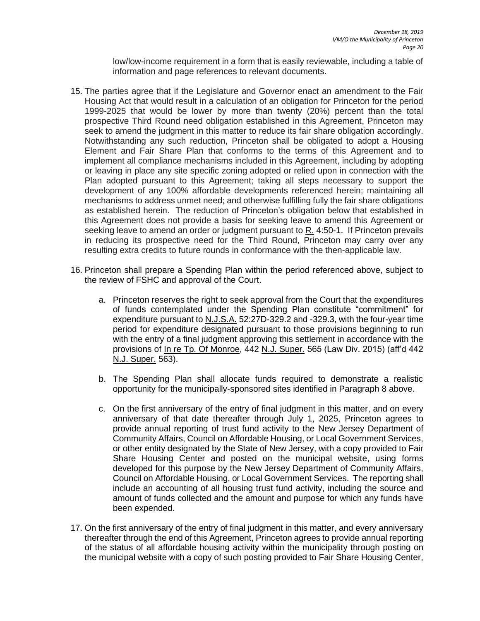low/low-income requirement in a form that is easily reviewable, including a table of information and page references to relevant documents.

- 15. The parties agree that if the Legislature and Governor enact an amendment to the Fair Housing Act that would result in a calculation of an obligation for Princeton for the period 1999-2025 that would be lower by more than twenty (20%) percent than the total prospective Third Round need obligation established in this Agreement, Princeton may seek to amend the judgment in this matter to reduce its fair share obligation accordingly. Notwithstanding any such reduction, Princeton shall be obligated to adopt a Housing Element and Fair Share Plan that conforms to the terms of this Agreement and to implement all compliance mechanisms included in this Agreement, including by adopting or leaving in place any site specific zoning adopted or relied upon in connection with the Plan adopted pursuant to this Agreement; taking all steps necessary to support the development of any 100% affordable developments referenced herein; maintaining all mechanisms to address unmet need; and otherwise fulfilling fully the fair share obligations as established herein. The reduction of Princeton's obligation below that established in this Agreement does not provide a basis for seeking leave to amend this Agreement or seeking leave to amend an order or judgment pursuant to R. 4:50-1. If Princeton prevails in reducing its prospective need for the Third Round, Princeton may carry over any resulting extra credits to future rounds in conformance with the then-applicable law.
- 16. Princeton shall prepare a Spending Plan within the period referenced above, subject to the review of FSHC and approval of the Court.
	- a. Princeton reserves the right to seek approval from the Court that the expenditures of funds contemplated under the Spending Plan constitute "commitment" for expenditure pursuant to N.J.S.A. 52:27D-329.2 and -329.3, with the four-year time period for expenditure designated pursuant to those provisions beginning to run with the entry of a final judgment approving this settlement in accordance with the provisions of In re Tp. Of Monroe, 442 N.J. Super. 565 (Law Div. 2015) (aff'd 442 N.J. Super. 563).
	- b. The Spending Plan shall allocate funds required to demonstrate a realistic opportunity for the municipally-sponsored sites identified in Paragraph [8](#page-14-1) above.
	- c. On the first anniversary of the entry of final judgment in this matter, and on every anniversary of that date thereafter through July 1, 2025, Princeton agrees to provide annual reporting of trust fund activity to the New Jersey Department of Community Affairs, Council on Affordable Housing, or Local Government Services, or other entity designated by the State of New Jersey, with a copy provided to Fair Share Housing Center and posted on the municipal website, using forms developed for this purpose by the New Jersey Department of Community Affairs, Council on Affordable Housing, or Local Government Services. The reporting shall include an accounting of all housing trust fund activity, including the source and amount of funds collected and the amount and purpose for which any funds have been expended.
- 17. On the first anniversary of the entry of final judgment in this matter, and every anniversary thereafter through the end of this Agreement, Princeton agrees to provide annual reporting of the status of all affordable housing activity within the municipality through posting on the municipal website with a copy of such posting provided to Fair Share Housing Center,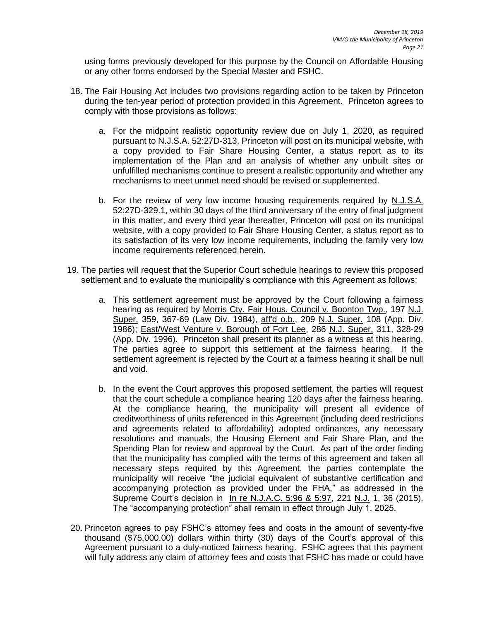using forms previously developed for this purpose by the Council on Affordable Housing or any other forms endorsed by the Special Master and FSHC.

- 18. The Fair Housing Act includes two provisions regarding action to be taken by Princeton during the ten-year period of protection provided in this Agreement. Princeton agrees to comply with those provisions as follows:
	- a. For the midpoint realistic opportunity review due on July 1, 2020, as required pursuant to N.J.S.A. 52:27D-313, Princeton will post on its municipal website, with a copy provided to Fair Share Housing Center, a status report as to its implementation of the Plan and an analysis of whether any unbuilt sites or unfulfilled mechanisms continue to present a realistic opportunity and whether any mechanisms to meet unmet need should be revised or supplemented.
	- b. For the review of very low income housing requirements required by N.J.S.A. 52:27D-329.1, within 30 days of the third anniversary of the entry of final judgment in this matter, and every third year thereafter, Princeton will post on its municipal website, with a copy provided to Fair Share Housing Center, a status report as to its satisfaction of its very low income requirements, including the family very low income requirements referenced herein.
- <span id="page-23-0"></span>19. The parties will request that the Superior Court schedule hearings to review this proposed settlement and to evaluate the municipality's compliance with this Agreement as follows:
	- a. This settlement agreement must be approved by the Court following a fairness hearing as required by Morris Cty. Fair Hous. Council v. Boonton Twp., 197 N.J. Super. 359, 367-69 (Law Div. 1984), aff'd o.b., 209 N.J. Super. 108 (App. Div. 1986); East/West Venture v. Borough of Fort Lee, 286 N.J. Super. 311, 328-29 (App. Div. 1996). Princeton shall present its planner as a witness at this hearing. The parties agree to support this settlement at the fairness hearing. If the settlement agreement is rejected by the Court at a fairness hearing it shall be null and void.
	- b. In the event the Court approves this proposed settlement, the parties will request that the court schedule a compliance hearing 120 days after the fairness hearing. At the compliance hearing, the municipality will present all evidence of creditworthiness of units referenced in this Agreement (including deed restrictions and agreements related to affordability) adopted ordinances, any necessary resolutions and manuals, the Housing Element and Fair Share Plan, and the Spending Plan for review and approval by the Court. As part of the order finding that the municipality has complied with the terms of this agreement and taken all necessary steps required by this Agreement, the parties contemplate the municipality will receive "the judicial equivalent of substantive certification and accompanying protection as provided under the FHA," as addressed in the Supreme Court's decision in In re N.J.A.C. 5:96 & 5:97, 221 N.J. 1, 36 (2015). The "accompanying protection" shall remain in effect through July 1, 2025.
- 20. Princeton agrees to pay FSHC's attorney fees and costs in the amount of seventy-five thousand (\$75,000.00) dollars within thirty (30) days of the Court's approval of this Agreement pursuant to a duly-noticed fairness hearing. FSHC agrees that this payment will fully address any claim of attorney fees and costs that FSHC has made or could have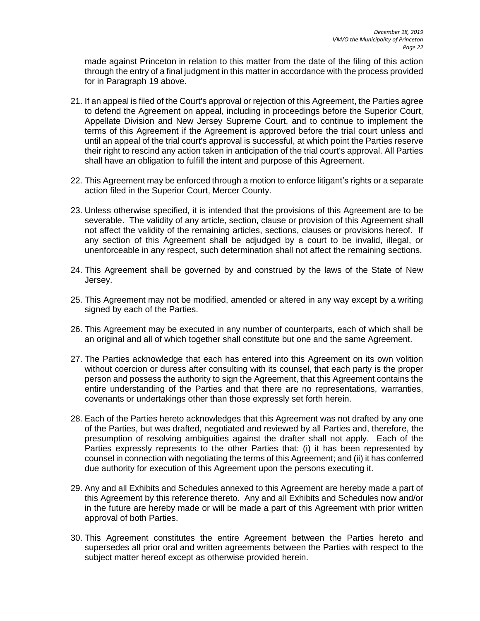made against Princeton in relation to this matter from the date of the filing of this action through the entry of a final judgment in this matter in accordance with the process provided for in Paragraph [19](#page-23-0) above.

- 21. If an appeal is filed of the Court's approval or rejection of this Agreement, the Parties agree to defend the Agreement on appeal, including in proceedings before the Superior Court, Appellate Division and New Jersey Supreme Court, and to continue to implement the terms of this Agreement if the Agreement is approved before the trial court unless and until an appeal of the trial court's approval is successful, at which point the Parties reserve their right to rescind any action taken in anticipation of the trial court's approval. All Parties shall have an obligation to fulfill the intent and purpose of this Agreement.
- 22. This Agreement may be enforced through a motion to enforce litigant's rights or a separate action filed in the Superior Court, Mercer County.
- 23. Unless otherwise specified, it is intended that the provisions of this Agreement are to be severable. The validity of any article, section, clause or provision of this Agreement shall not affect the validity of the remaining articles, sections, clauses or provisions hereof. If any section of this Agreement shall be adjudged by a court to be invalid, illegal, or unenforceable in any respect, such determination shall not affect the remaining sections.
- 24. This Agreement shall be governed by and construed by the laws of the State of New Jersey.
- 25. This Agreement may not be modified, amended or altered in any way except by a writing signed by each of the Parties.
- 26. This Agreement may be executed in any number of counterparts, each of which shall be an original and all of which together shall constitute but one and the same Agreement.
- 27. The Parties acknowledge that each has entered into this Agreement on its own volition without coercion or duress after consulting with its counsel, that each party is the proper person and possess the authority to sign the Agreement, that this Agreement contains the entire understanding of the Parties and that there are no representations, warranties, covenants or undertakings other than those expressly set forth herein.
- 28. Each of the Parties hereto acknowledges that this Agreement was not drafted by any one of the Parties, but was drafted, negotiated and reviewed by all Parties and, therefore, the presumption of resolving ambiguities against the drafter shall not apply. Each of the Parties expressly represents to the other Parties that: (i) it has been represented by counsel in connection with negotiating the terms of this Agreement; and (ii) it has conferred due authority for execution of this Agreement upon the persons executing it.
- 29. Any and all Exhibits and Schedules annexed to this Agreement are hereby made a part of this Agreement by this reference thereto. Any and all Exhibits and Schedules now and/or in the future are hereby made or will be made a part of this Agreement with prior written approval of both Parties.
- 30. This Agreement constitutes the entire Agreement between the Parties hereto and supersedes all prior oral and written agreements between the Parties with respect to the subject matter hereof except as otherwise provided herein.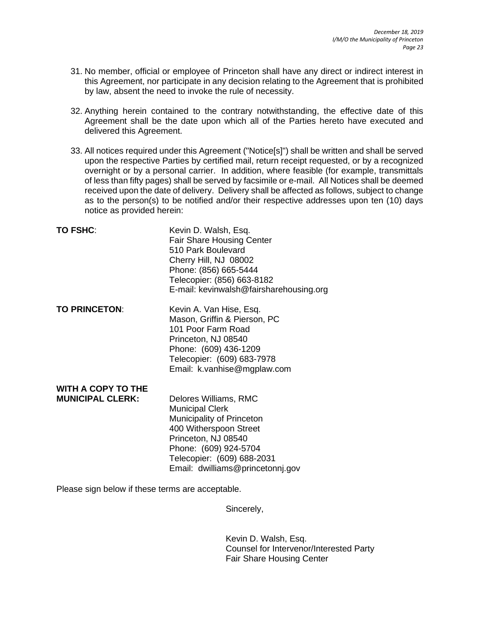- 31. No member, official or employee of Princeton shall have any direct or indirect interest in this Agreement, nor participate in any decision relating to the Agreement that is prohibited by law, absent the need to invoke the rule of necessity.
- 32. Anything herein contained to the contrary notwithstanding, the effective date of this Agreement shall be the date upon which all of the Parties hereto have executed and delivered this Agreement.
- 33. All notices required under this Agreement ("Notice[s]") shall be written and shall be served upon the respective Parties by certified mail, return receipt requested, or by a recognized overnight or by a personal carrier. In addition, where feasible (for example, transmittals of less than fifty pages) shall be served by facsimile or e-mail. All Notices shall be deemed received upon the date of delivery. Delivery shall be affected as follows, subject to change as to the person(s) to be notified and/or their respective addresses upon ten (10) days notice as provided herein:

| <b>TO FSHC:</b>                               | Kevin D. Walsh, Esq.<br><b>Fair Share Housing Center</b><br>510 Park Boulevard<br>Cherry Hill, NJ 08002<br>Phone: (856) 665-5444<br>Telecopier: (856) 663-8182<br>E-mail: kevinwalsh@fairsharehousing.org                       |
|-----------------------------------------------|---------------------------------------------------------------------------------------------------------------------------------------------------------------------------------------------------------------------------------|
| <b>TO PRINCETON:</b>                          | Kevin A. Van Hise, Esq.<br>Mason, Griffin & Pierson, PC<br>101 Poor Farm Road<br>Princeton, NJ 08540<br>Phone: (609) 436-1209<br>Telecopier: (609) 683-7978<br>Email: k.vanhise@mgplaw.com                                      |
| WITH A COPY TO THE<br><b>MUNICIPAL CLERK:</b> | Delores Williams, RMC<br><b>Municipal Clerk</b><br><b>Municipality of Princeton</b><br>400 Witherspoon Street<br>Princeton, NJ 08540<br>Phone: (609) 924-5704<br>Telecopier: (609) 688-2031<br>Email: dwilliams@princetonnj.gov |

Please sign below if these terms are acceptable.

Sincerely,

Kevin D. Walsh, Esq. Counsel for Intervenor/Interested Party Fair Share Housing Center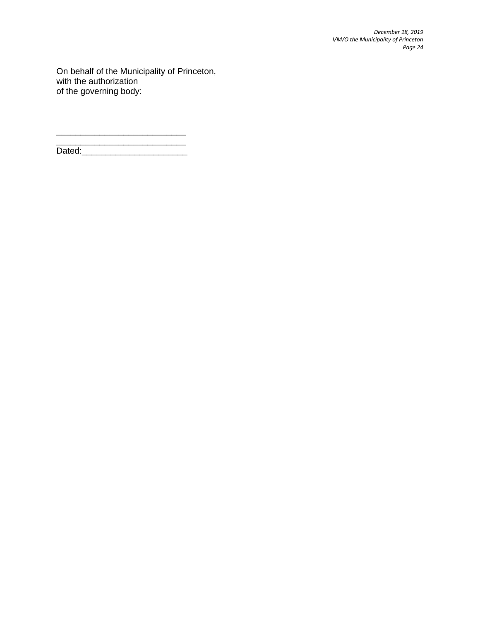On behalf of the Municipality of Princeton, with the authorization of the governing body:

\_\_\_\_\_\_\_\_\_\_\_\_\_\_\_\_\_\_\_\_\_\_\_\_\_\_\_

 $\overline{\phantom{a}}$  , where  $\overline{\phantom{a}}$  , where  $\overline{\phantom{a}}$  , where  $\overline{\phantom{a}}$ Dated:\_\_\_\_\_\_\_\_\_\_\_\_\_\_\_\_\_\_\_\_\_\_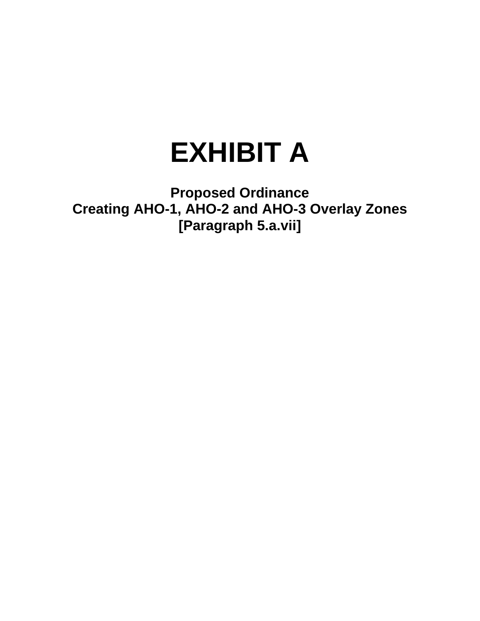# **EXHIBIT A**

**Proposed Ordinance Creating AHO-1, AHO-2 and AHO-3 Overlay Zones [Paragraph [5.a.vii\]](#page-8-0)**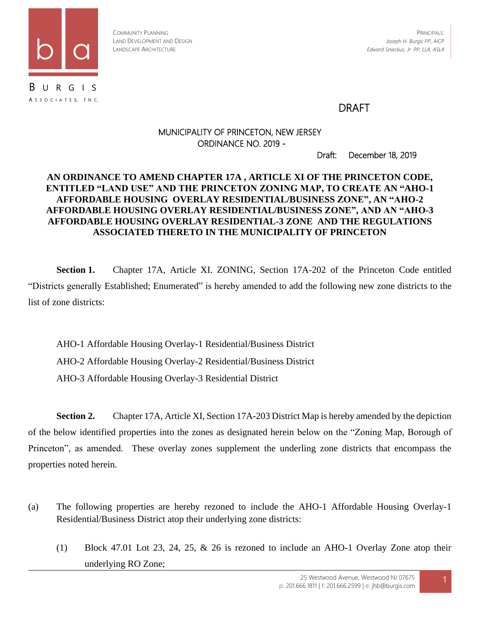

LAND DEVELOPMENT AND DESIGN *Joseph H. Burgis PP, AICP*

# DRAFT

# MUNICIPALITY OF PRINCETON, NEW JERSEY ORDINANCE NO. 2019 -

Draft: December 18, 2019

# **AN ORDINANCE TO AMEND CHAPTER 17A , ARTICLE XI OF THE PRINCETON CODE, ENTITLED "LAND USE" AND THE PRINCETON ZONING MAP, TO CREATE AN "AHO-1 AFFORDABLE HOUSING OVERLAY RESIDENTIAL/BUSINESS ZONE", AN "AHO-2 AFFORDABLE HOUSING OVERLAY RESIDENTIAL/BUSINESS ZONE", AND AN "AHO-3 AFFORDABLE HOUSING OVERLAY RESIDENTIAL-3 ZONE AND THE REGULATIONS ASSOCIATED THERETO IN THE MUNICIPALITY OF PRINCETON**

**Section 1.** Chapter 17A, Article XI. ZONING, Section 17A-202 of the Princeton Code entitled "Districts generally Established; Enumerated" is hereby amended to add the following new zone districts to the list of zone districts:

AHO-1 Affordable Housing Overlay-1 Residential/Business District AHO-2 Affordable Housing Overlay-2 Residential/Business District AHO-3 Affordable Housing Overlay-3 Residential District

**Section 2.** Chapter 17A, Article XI, Section 17A-203 District Map is hereby amended by the depiction of the below identified properties into the zones as designated herein below on the "Zoning Map, Borough of Princeton", as amended. These overlay zones supplement the underling zone districts that encompass the properties noted herein.

- (a) The following properties are hereby rezoned to include the AHO-1 Affordable Housing Overlay-1 Residential/Business District atop their underlying zone districts:
	- (1) Block 47.01 Lot 23, 24, 25, & 26 is rezoned to include an AHO-1 Overlay Zone atop their underlying RO Zone;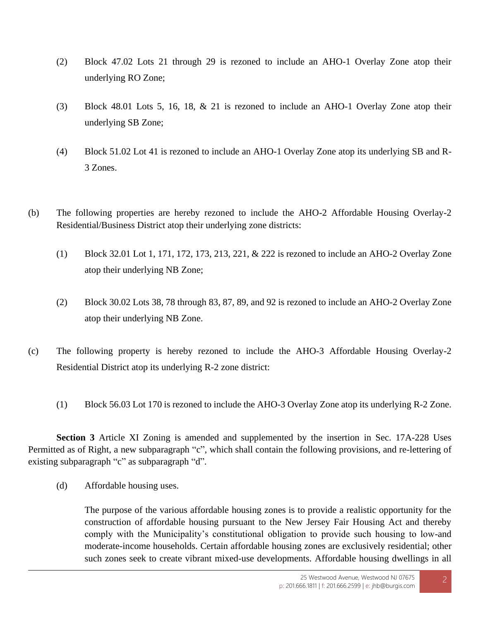- (2) Block 47.02 Lots 21 through 29 is rezoned to include an AHO-1 Overlay Zone atop their underlying RO Zone;
- (3) Block 48.01 Lots 5, 16, 18, & 21 is rezoned to include an AHO-1 Overlay Zone atop their underlying SB Zone;
- (4) Block 51.02 Lot 41 is rezoned to include an AHO-1 Overlay Zone atop its underlying SB and R-3 Zones.
- (b) The following properties are hereby rezoned to include the AHO-2 Affordable Housing Overlay-2 Residential/Business District atop their underlying zone districts:
	- (1) Block 32.01 Lot 1, 171, 172, 173, 213, 221, & 222 is rezoned to include an AHO-2 Overlay Zone atop their underlying NB Zone;
	- (2) Block 30.02 Lots 38, 78 through 83, 87, 89, and 92 is rezoned to include an AHO-2 Overlay Zone atop their underlying NB Zone.
- (c) The following property is hereby rezoned to include the AHO-3 Affordable Housing Overlay-2 Residential District atop its underlying R-2 zone district:
	- (1) Block 56.03 Lot 170 is rezoned to include the AHO-3 Overlay Zone atop its underlying R-2 Zone.

**Section 3** Article XI Zoning is amended and supplemented by the insertion in Sec. 17A-228 Uses Permitted as of Right, a new subparagraph "c", which shall contain the following provisions, and re-lettering of existing subparagraph "c" as subparagraph "d".

(d) Affordable housing uses.

The purpose of the various affordable housing zones is to provide a realistic opportunity for the construction of affordable housing pursuant to the New Jersey Fair Housing Act and thereby comply with the Municipality's constitutional obligation to provide such housing to low-and moderate-income households. Certain affordable housing zones are exclusively residential; other such zones seek to create vibrant mixed-use developments. Affordable housing dwellings in all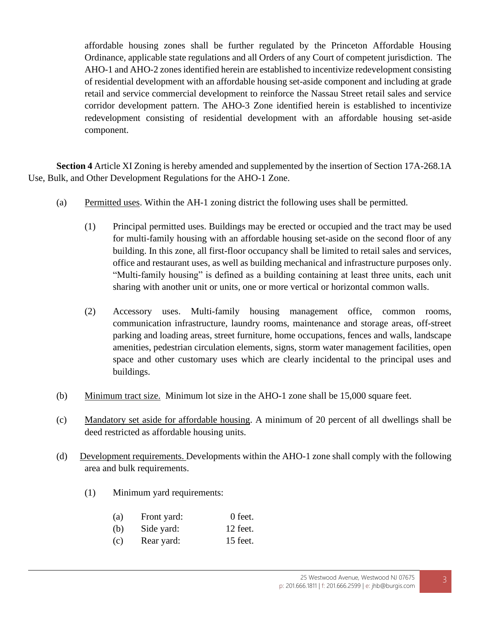affordable housing zones shall be further regulated by the Princeton Affordable Housing Ordinance, applicable state regulations and all Orders of any Court of competent jurisdiction. The AHO-1 and AHO-2 zones identified herein are established to incentivize redevelopment consisting of residential development with an affordable housing set-aside component and including at grade retail and service commercial development to reinforce the Nassau Street retail sales and service corridor development pattern. The AHO-3 Zone identified herein is established to incentivize redevelopment consisting of residential development with an affordable housing set-aside component.

**Section 4** Article XI Zoning is hereby amended and supplemented by the insertion of Section 17A-268.1A Use, Bulk, and Other Development Regulations for the AHO-1 Zone.

- (a) Permitted uses. Within the AH-1 zoning district the following uses shall be permitted.
	- (1) Principal permitted uses. Buildings may be erected or occupied and the tract may be used for multi-family housing with an affordable housing set-aside on the second floor of any building. In this zone, all first-floor occupancy shall be limited to retail sales and services, office and restaurant uses, as well as building mechanical and infrastructure purposes only. "Multi-family housing" is defined as a building containing at least three units, each unit sharing with another unit or units, one or more vertical or horizontal common walls.
	- (2) Accessory uses. Multi-family housing management office, common rooms, communication infrastructure, laundry rooms, maintenance and storage areas, off-street parking and loading areas, street furniture, home occupations, fences and walls, landscape amenities, pedestrian circulation elements, signs, storm water management facilities, open space and other customary uses which are clearly incidental to the principal uses and buildings.
- (b) Minimum tract size. Minimum lot size in the AHO-1 zone shall be 15,000 square feet.
- (c) Mandatory set aside for affordable housing. A minimum of 20 percent of all dwellings shall be deed restricted as affordable housing units.
- (d) Development requirements. Developments within the AHO-1 zone shall comply with the following area and bulk requirements.
	- (1) Minimum yard requirements:
		- (a) Front yard: 0 feet.
		- (b) Side yard: 12 feet.
		- (c) Rear yard: 15 feet.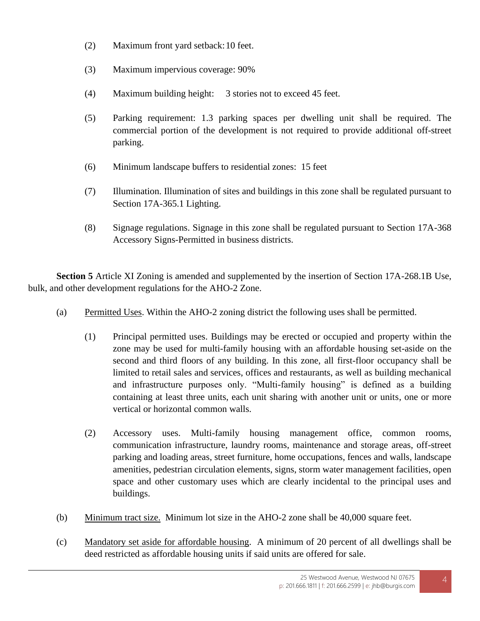- (2) Maximum front yard setback:10 feet.
- (3) Maximum impervious coverage: 90%
- (4) Maximum building height: 3 stories not to exceed 45 feet.
- (5) Parking requirement: 1.3 parking spaces per dwelling unit shall be required. The commercial portion of the development is not required to provide additional off-street parking.
- (6) Minimum landscape buffers to residential zones: 15 feet
- (7) Illumination. Illumination of sites and buildings in this zone shall be regulated pursuant to Section 17A-365.1 Lighting.
- (8) Signage regulations. Signage in this zone shall be regulated pursuant to Section 17A-368 Accessory Signs-Permitted in business districts.

**Section 5** Article XI Zoning is amended and supplemented by the insertion of Section 17A-268.1B Use, bulk, and other development regulations for the AHO-2 Zone.

- (a) Permitted Uses. Within the AHO-2 zoning district the following uses shall be permitted.
	- (1) Principal permitted uses. Buildings may be erected or occupied and property within the zone may be used for multi-family housing with an affordable housing set-aside on the second and third floors of any building. In this zone, all first-floor occupancy shall be limited to retail sales and services, offices and restaurants, as well as building mechanical and infrastructure purposes only. "Multi-family housing" is defined as a building containing at least three units, each unit sharing with another unit or units, one or more vertical or horizontal common walls.
	- (2) Accessory uses. Multi-family housing management office, common rooms, communication infrastructure, laundry rooms, maintenance and storage areas, off-street parking and loading areas, street furniture, home occupations, fences and walls, landscape amenities, pedestrian circulation elements, signs, storm water management facilities, open space and other customary uses which are clearly incidental to the principal uses and buildings.
- (b) Minimum tract size. Minimum lot size in the AHO-2 zone shall be 40,000 square feet.
- (c) Mandatory set aside for affordable housing. A minimum of 20 percent of all dwellings shall be deed restricted as affordable housing units if said units are offered for sale.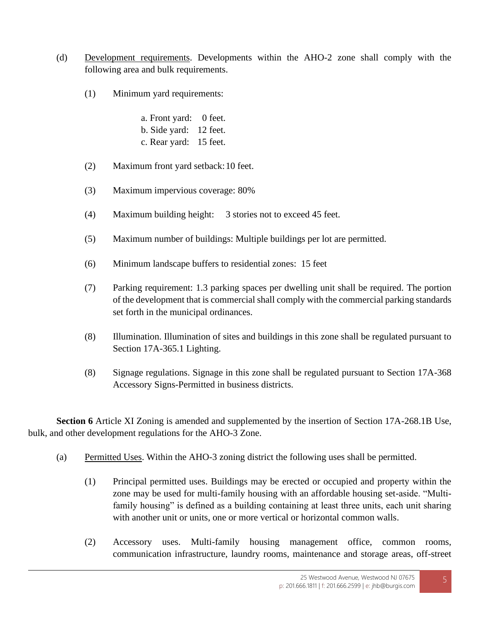- (d) Development requirements. Developments within the AHO-2 zone shall comply with the following area and bulk requirements.
	- (1) Minimum yard requirements:

a. Front yard: 0 feet. b. Side yard: 12 feet. c. Rear yard: 15 feet.

- (2) Maximum front yard setback:10 feet.
- (3) Maximum impervious coverage: 80%
- (4) Maximum building height: 3 stories not to exceed 45 feet.
- (5) Maximum number of buildings: Multiple buildings per lot are permitted.
- (6) Minimum landscape buffers to residential zones: 15 feet
- (7) Parking requirement: 1.3 parking spaces per dwelling unit shall be required. The portion of the development that is commercial shall comply with the commercial parking standards set forth in the municipal ordinances.
- (8) Illumination. Illumination of sites and buildings in this zone shall be regulated pursuant to Section 17A-365.1 Lighting.
- (8) Signage regulations. Signage in this zone shall be regulated pursuant to Section 17A-368 Accessory Signs-Permitted in business districts.

**Section 6** Article XI Zoning is amended and supplemented by the insertion of Section 17A-268.1B Use, bulk, and other development regulations for the AHO-3 Zone.

- (a) Permitted Uses. Within the AHO-3 zoning district the following uses shall be permitted.
	- (1) Principal permitted uses. Buildings may be erected or occupied and property within the zone may be used for multi-family housing with an affordable housing set-aside. "Multifamily housing" is defined as a building containing at least three units, each unit sharing with another unit or units, one or more vertical or horizontal common walls.
	- (2) Accessory uses. Multi-family housing management office, common rooms, communication infrastructure, laundry rooms, maintenance and storage areas, off-street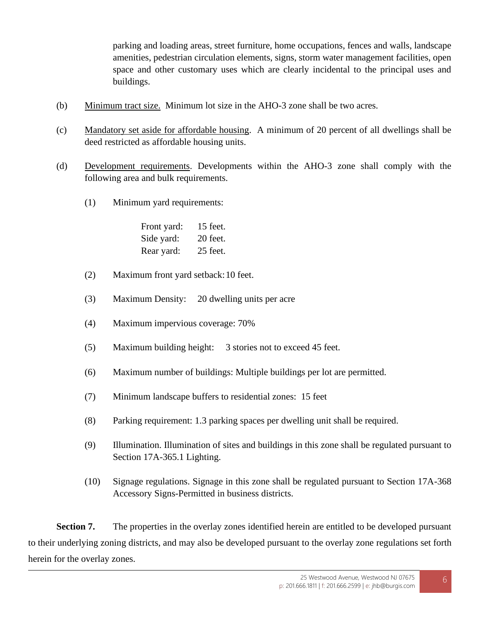parking and loading areas, street furniture, home occupations, fences and walls, landscape amenities, pedestrian circulation elements, signs, storm water management facilities, open space and other customary uses which are clearly incidental to the principal uses and buildings.

- (b) Minimum tract size. Minimum lot size in the AHO-3 zone shall be two acres.
- (c) Mandatory set aside for affordable housing. A minimum of 20 percent of all dwellings shall be deed restricted as affordable housing units.
- (d) Development requirements. Developments within the AHO-3 zone shall comply with the following area and bulk requirements.
	- (1) Minimum yard requirements:

| Front yard: | 15 feet. |
|-------------|----------|
| Side yard:  | 20 feet. |
| Rear yard:  | 25 feet. |

- (2) Maximum front yard setback:10 feet.
- (3) Maximum Density: 20 dwelling units per acre
- (4) Maximum impervious coverage: 70%
- (5) Maximum building height: 3 stories not to exceed 45 feet.
- (6) Maximum number of buildings: Multiple buildings per lot are permitted.
- (7) Minimum landscape buffers to residential zones: 15 feet
- (8) Parking requirement: 1.3 parking spaces per dwelling unit shall be required.
- (9) Illumination. Illumination of sites and buildings in this zone shall be regulated pursuant to Section 17A-365.1 Lighting.
- (10) Signage regulations. Signage in this zone shall be regulated pursuant to Section 17A-368 Accessory Signs-Permitted in business districts.

**Section 7.** The properties in the overlay zones identified herein are entitled to be developed pursuant to their underlying zoning districts, and may also be developed pursuant to the overlay zone regulations set forth herein for the overlay zones.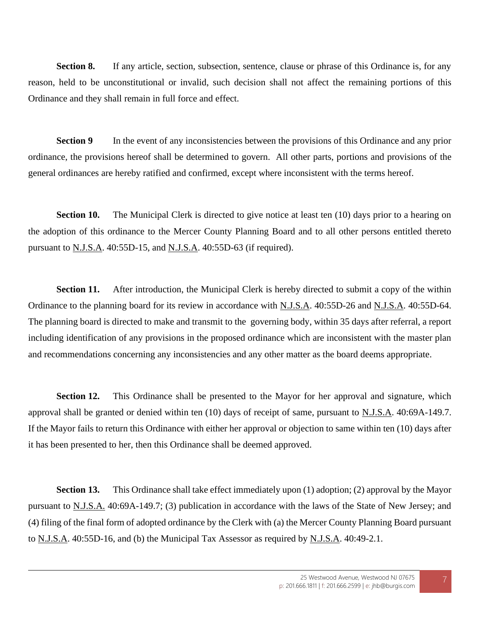**Section 8.** If any article, section, subsection, sentence, clause or phrase of this Ordinance is, for any reason, held to be unconstitutional or invalid, such decision shall not affect the remaining portions of this Ordinance and they shall remain in full force and effect.

**Section 9** In the event of any inconsistencies between the provisions of this Ordinance and any prior ordinance, the provisions hereof shall be determined to govern. All other parts, portions and provisions of the general ordinances are hereby ratified and confirmed, except where inconsistent with the terms hereof.

**Section 10.** The Municipal Clerk is directed to give notice at least ten (10) days prior to a hearing on the adoption of this ordinance to the Mercer County Planning Board and to all other persons entitled thereto pursuant to N.J.S.A. 40:55D-15, and N.J.S.A. 40:55D-63 (if required).

**Section 11.** After introduction, the Municipal Clerk is hereby directed to submit a copy of the within Ordinance to the planning board for its review in accordance with N.J.S.A. 40:55D-26 and N.J.S.A. 40:55D-64. The planning board is directed to make and transmit to the governing body, within 35 days after referral, a report including identification of any provisions in the proposed ordinance which are inconsistent with the master plan and recommendations concerning any inconsistencies and any other matter as the board deems appropriate.

**Section 12.** This Ordinance shall be presented to the Mayor for her approval and signature, which approval shall be granted or denied within ten (10) days of receipt of same, pursuant to N.J.S.A. 40:69A-149.7. If the Mayor fails to return this Ordinance with either her approval or objection to same within ten (10) days after it has been presented to her, then this Ordinance shall be deemed approved.

**Section 13.** This Ordinance shall take effect immediately upon (1) adoption; (2) approval by the Mayor pursuant to N.J.S.A. 40:69A-149.7; (3) publication in accordance with the laws of the State of New Jersey; and (4) filing of the final form of adopted ordinance by the Clerk with (a) the Mercer County Planning Board pursuant to N.J.S.A. 40:55D-16, and (b) the Municipal Tax Assessor as required by N.J.S.A. 40:49-2.1.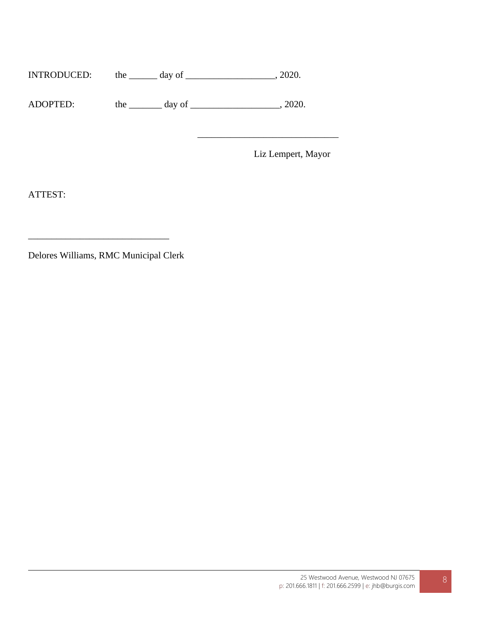ADOPTED: the \_\_\_\_\_\_ day of \_\_\_\_\_\_\_\_\_\_\_\_\_\_\_\_\_\_\_, 2020.

Liz Lempert, Mayor

\_\_\_\_\_\_\_\_\_\_\_\_\_\_\_\_\_\_\_\_\_\_\_\_\_\_\_\_\_\_

ATTEST:

Delores Williams, RMC Municipal Clerk

\_\_\_\_\_\_\_\_\_\_\_\_\_\_\_\_\_\_\_\_\_\_\_\_\_\_\_\_\_\_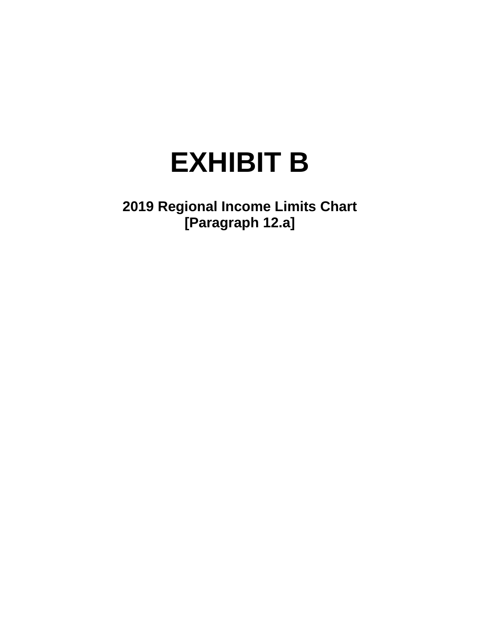# **EXHIBIT B**

**2019 Regional Income Limits Chart [Paragraph [12.a\]](#page-20-0)**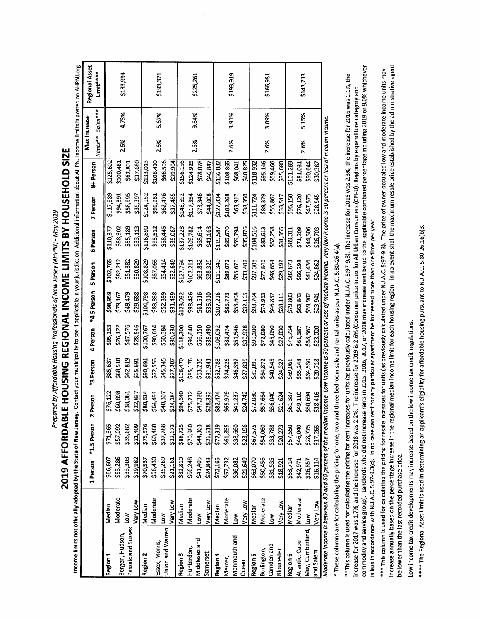Prepared by Affordable Housing Professionals of New Jersey (AHPNJ) - May 2019

# 2019 AFFORDABLE HOUSING REGIONAL INCOME LIMITS BY HOUSEHOLD SIZE

Income limits not officially adopted by the State of New Jersey. Contact your municipality to see if applicable in your jurisdiction. Additional information about AHPNJ income limits is posted on AHPNJ.org

|                                                            |              |          |                      |          |           |           |                                                                                                                    |           |           |           |           |      | Max Increase     |                       |
|------------------------------------------------------------|--------------|----------|----------------------|----------|-----------|-----------|--------------------------------------------------------------------------------------------------------------------|-----------|-----------|-----------|-----------|------|------------------|-----------------------|
|                                                            |              |          | 1 Person *1.5 Person | Person   | *3 Person | 4 Person  | *4.5 Person                                                                                                        | 5 Person  | 6 Person  | 7 Person  | 8+ Person |      |                  | <b>Regional Asset</b> |
|                                                            |              |          |                      |          |           |           |                                                                                                                    |           |           |           |           |      | Rents** Sales*** | $Limit***$            |
| Region 1                                                   | Median       | \$66,607 | \$71,365             | \$76,122 | \$85,637  | \$95,153  | \$98,959                                                                                                           | \$102,765 | \$110,377 | \$117,989 | \$125,602 |      |                  |                       |
| Bergen, Hudson,                                            | Moderate     | \$53,286 | \$57,092             | \$60,898 | \$68,510  | \$76,122  | \$79,167                                                                                                           | 582,212   | \$88,302  | \$94,391  | \$100,481 |      |                  |                       |
| Passaic and Sussex                                         | ŠΜ           | \$33,303 | \$35,682             | \$38,061 | \$42,819  | \$47,576  | \$49,479                                                                                                           | \$51,382  | \$55,189  | \$58,995  | \$62,801  | 2.6% | 4.73%            | \$183,994             |
|                                                            | Very Low     | \$19,982 | \$21,409             | \$22,837 | \$25,691  | \$28,546  | \$29,688                                                                                                           | \$30,829  | \$33,113  | \$35,397  | \$37,680  |      |                  |                       |
| Region 2                                                   | Median       | \$70,537 | \$75,576             | \$80,614 | \$90,691  | \$100,767 | \$104,798                                                                                                          | \$108,829 | \$116,890 | \$124,952 | \$133,013 |      |                  |                       |
| Essex, Morris,                                             | Moderate     | \$56,430 | \$60,460             | \$64,491 | \$72,553  | \$80,614  | \$83,838                                                                                                           | \$87,063  | \$93,512  | \$99,961  | \$106,410 |      |                  |                       |
| Union and Warren                                           | $\mathsf{S}$ | \$35,269 | \$37,788             | \$40,307 | \$45,345  | \$50,384  | \$52,399                                                                                                           | \$54,414  | \$58,445  | \$62,476  | \$66,506  | 2.6% | 5.67%            | \$193,321             |
|                                                            | Very Low     | \$21,161 | \$22,673             | \$24,184 | \$27,207  | \$30.230  | \$31,439                                                                                                           | \$32,649  | \$35,067  | \$37,485  | \$39,904  |      |                  |                       |
| Region 3                                                   | Median       | \$82,810 | \$88,725             | \$94,640 | \$106,470 | \$118,300 | 5123,032                                                                                                           | \$127,764 | \$137,228 | \$146,692 | \$156,156 |      |                  |                       |
| Hunterdon,                                                 | Moderate     | \$66,248 | \$70,980             | \$75,712 | \$85,176  | \$94,640  | \$98,426                                                                                                           | \$102,211 | \$109,782 | \$117,354 | \$124,925 |      |                  |                       |
| Middlesex and                                              | Š            | \$41,405 | \$44,363             | 547,320  | \$53,235  | \$59,150  | \$61,516                                                                                                           | \$63,882  | \$68,614  | \$73,346  | \$78,078  | 2.6% | 9.64%            | \$225,261             |
| Somerset                                                   | Very Low     | \$24,843 | \$26,618             | \$28,392 | \$31,941  | \$35,490  | \$36,910                                                                                                           | \$38,329  | \$41,168  | \$44,008  | \$46.847  |      |                  |                       |
| Region 4                                                   | Median       | \$72,165 | \$77,319             | \$82,474 | \$92,783  | \$103,092 | \$107,216                                                                                                          | \$111,340 | \$119,587 | \$127,834 | \$136,082 |      |                  |                       |
| Mercer,                                                    | Moderate     | \$57,732 | \$61,855             | \$65,979 | \$74,226  | \$82,474  | \$85,773                                                                                                           | \$89,072  | \$95,670  | \$102,268 | \$108,865 |      |                  |                       |
| Monmouth and                                               | Š            | \$36,082 | \$38,660             | \$41,237 | \$46,392  | \$51,546  | \$53,608                                                                                                           | \$55,670  | \$59,794  | \$63,917  | \$68,041  | 2.6% | 3.91%            | \$193,919             |
| Ocean                                                      | Very Low     | \$21,649 | \$23,196             | \$24,742 | \$27,835  | \$30,928  | \$32,165                                                                                                           | \$33,402  | \$35,876  | \$38.350  | \$40,825  |      |                  |                       |
| Region 5                                                   | Median       | \$63,070 | \$67,575             | \$72,080 | \$81,090  | \$90,100  | \$93,704                                                                                                           | \$97,308  | \$104,516 | \$111,724 | \$118,932 |      |                  |                       |
| Burlington,                                                | Moderate     | \$50,456 | \$54,060             | \$57,664 | \$64,872  | \$72,080  | \$74,963                                                                                                           | \$77,846  | \$83,613  | \$89,379  | \$95,146  |      |                  |                       |
| Camden and                                                 | Š            | \$31,535 | \$33,788             | \$36,040 | \$40,545  | \$45,050  | \$46,852                                                                                                           | \$48,654  | \$52,258  | \$55,862  | \$59,466  | 2.6% | 3.09%            | \$166,981             |
| Gloucester                                                 | Very Low     | \$18,921 | \$20,273             | \$21,624 | \$24,327  | \$27,030  | \$28,111                                                                                                           | S29,192   | \$31,355  | \$33,517  | \$35,680  |      |                  |                       |
| Region 6                                                   | Median       | \$53,714 | \$57,550             | \$61,387 | \$69,061  | \$76,734  | \$79,803                                                                                                           | \$82,873  | \$89,011  | \$95,150  | 2101,289  |      |                  |                       |
| Atlantic, Cape                                             | Moderate     | \$42,971 | \$46,040             | \$49,110 | \$55,248  | \$61,387  | \$63,843                                                                                                           | \$66,298  | \$71,209  | \$76,120  | \$81,031  | 2.6% | 5.15%            | \$143,713             |
| May, Cumberland, Low                                       |              | \$26,857 | \$28,775             | \$30,694 | \$34,530  | \$38,367  | \$39,902                                                                                                           | \$41,436  | \$44,506  | \$47,575  | \$50,644  |      |                  |                       |
| and Salem                                                  | Very Low     | \$16,114 | \$17,265             | \$18,416 | \$20,718  | \$23,020  | \$23,941                                                                                                           | \$24,862  | \$26,703  | \$28,545  | \$30,387  |      |                  |                       |
| Moderate income is between 80 and 50 percent of the median |              |          |                      |          |           |           | income. Low income is 50 percent or less of median income. Very low income is 30 percent or less of median income. |           |           |           |           |      |                  |                       |

These columns are for calculating the pricing for one, two and three bedroom sale and rental units as per N.J.A.C. 5:80-26.4(a).

commodity and service group). Landlords who did not increase rents in 2015, 2016, 2017, or 2018 may increase rent by up to the applicable combined percentage including 2019 or 9.0% whichever \*\*This column is used for calculating the pricing for rent increases for units (as previously calculated under N.J.A.C. 5:97-9.3). The increase for 2015 was 2.3%, the increase for 2016 was 1.1%, the increase for 2017 was 1.7%, and the increase for 2018 was 2.2%. The increase for 2019 is 2.6% (Consumer price Index for All Urban Consumers (CPI-U): Regions by expenditure category and is less in accordance with N.J.A.C. 5:97-9.3(c). In no case can rent for any particular apartment be increased more than one time per year.

increase annually based on the percentage increase in the regional median income limit for each housing region. In no event shall the maximum resale price established by the administrative agent \*\*\* This column is used for calculating the pricing for resale increases for units (as previously calculated under N.J.A.C. 5:97-9.3). The price of owner-occupied low and moderate income units may be lower than the last recorded purchase price.

Low income tax credit developments may increase based on the low income tax credit regulations.

\*\*\*\* The Regional Asset Limit is used in determining an applicant's eligibility for affordable housing pursuant to N.J.A.C. 5:80-26.16(b)3.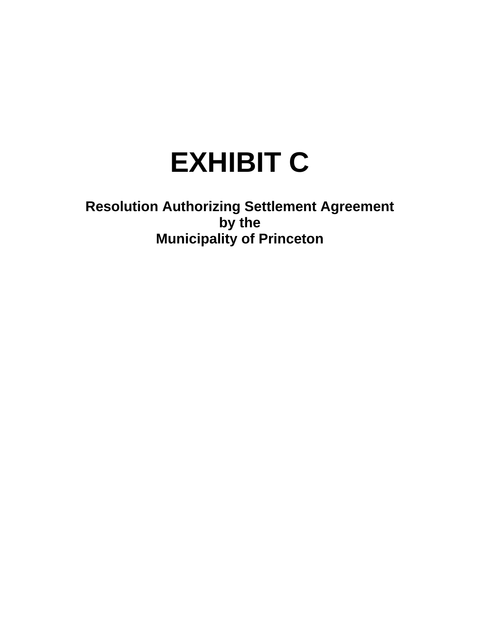

**Resolution Authorizing Settlement Agreement by the Municipality of Princeton**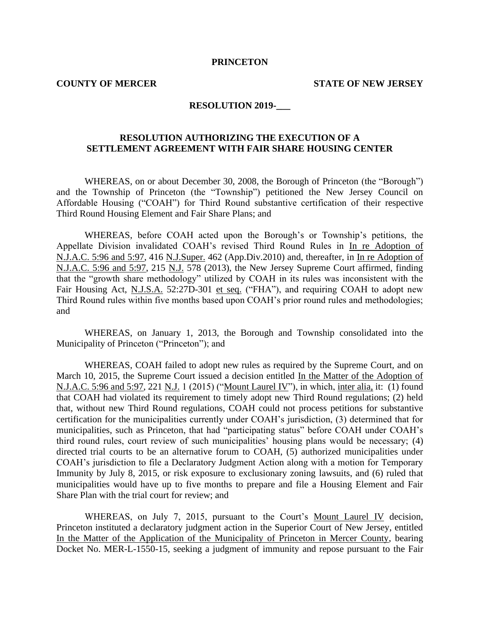# **PRINCETON**

**COUNTY OF MERCER STATE OF NEW JERSEY**

### **RESOLUTION 2019-\_\_\_**

# **RESOLUTION AUTHORIZING THE EXECUTION OF A SETTLEMENT AGREEMENT WITH FAIR SHARE HOUSING CENTER**

WHEREAS, on or about December 30, 2008, the Borough of Princeton (the "Borough") and the Township of Princeton (the "Township") petitioned the New Jersey Council on Affordable Housing ("COAH") for Third Round substantive certification of their respective Third Round Housing Element and Fair Share Plans; and

WHEREAS, before COAH acted upon the Borough's or Township's petitions, the Appellate Division invalidated COAH's revised Third Round Rules in In re Adoption of N.J.A.C. 5:96 and 5:97, 416 N.J.Super. 462 (App.Div.2010) and, thereafter, in In re Adoption of N.J.A.C. 5:96 and 5:97, 215 N.J. 578 (2013), the New Jersey Supreme Court affirmed, finding that the "growth share methodology" utilized by COAH in its rules was inconsistent with the Fair Housing Act, N.J.S.A. 52:27D-301 et seq. ("FHA"), and requiring COAH to adopt new Third Round rules within five months based upon COAH's prior round rules and methodologies; and

WHEREAS, on January 1, 2013, the Borough and Township consolidated into the Municipality of Princeton ("Princeton"); and

WHEREAS, COAH failed to adopt new rules as required by the Supreme Court, and on March 10, 2015, the Supreme Court issued a decision entitled In the Matter of the Adoption of N.J.A.C. 5:96 and 5:97, 221 N.J. 1 (2015) ("Mount Laurel IV"), in which, inter alia, it: (1) found that COAH had violated its requirement to timely adopt new Third Round regulations; (2) held that, without new Third Round regulations, COAH could not process petitions for substantive certification for the municipalities currently under COAH's jurisdiction, (3) determined that for municipalities, such as Princeton, that had "participating status" before COAH under COAH's third round rules, court review of such municipalities' housing plans would be necessary; (4) directed trial courts to be an alternative forum to COAH, (5) authorized municipalities under COAH's jurisdiction to file a Declaratory Judgment Action along with a motion for Temporary Immunity by July 8, 2015, or risk exposure to exclusionary zoning lawsuits, and (6) ruled that municipalities would have up to five months to prepare and file a Housing Element and Fair Share Plan with the trial court for review; and

WHEREAS, on July 7, 2015, pursuant to the Court's Mount Laurel IV decision, Princeton instituted a declaratory judgment action in the Superior Court of New Jersey, entitled In the Matter of the Application of the Municipality of Princeton in Mercer County, bearing Docket No. MER-L-1550-15, seeking a judgment of immunity and repose pursuant to the Fair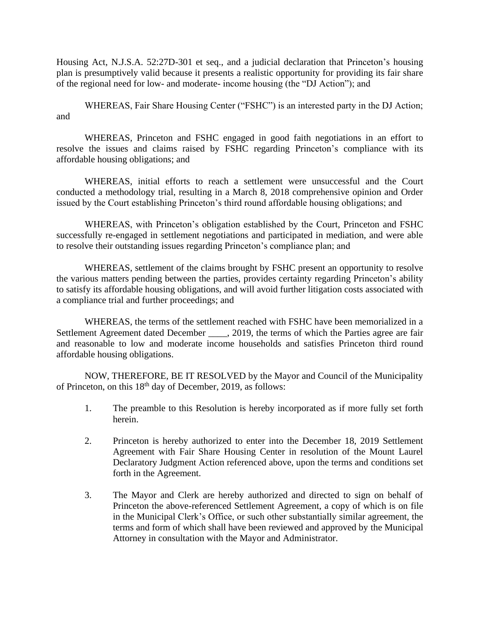Housing Act, N.J.S.A. 52:27D-301 et seq., and a judicial declaration that Princeton's housing plan is presumptively valid because it presents a realistic opportunity for providing its fair share of the regional need for low- and moderate- income housing (the "DJ Action"); and

WHEREAS, Fair Share Housing Center ("FSHC") is an interested party in the DJ Action; and

WHEREAS, Princeton and FSHC engaged in good faith negotiations in an effort to resolve the issues and claims raised by FSHC regarding Princeton's compliance with its affordable housing obligations; and

WHEREAS, initial efforts to reach a settlement were unsuccessful and the Court conducted a methodology trial, resulting in a March 8, 2018 comprehensive opinion and Order issued by the Court establishing Princeton's third round affordable housing obligations; and

WHEREAS, with Princeton's obligation established by the Court, Princeton and FSHC successfully re-engaged in settlement negotiations and participated in mediation, and were able to resolve their outstanding issues regarding Princeton's compliance plan; and

WHEREAS, settlement of the claims brought by FSHC present an opportunity to resolve the various matters pending between the parties, provides certainty regarding Princeton's ability to satisfy its affordable housing obligations, and will avoid further litigation costs associated with a compliance trial and further proceedings; and

WHEREAS, the terms of the settlement reached with FSHC have been memorialized in a Settlement Agreement dated December . 2019, the terms of which the Parties agree are fair and reasonable to low and moderate income households and satisfies Princeton third round affordable housing obligations.

NOW, THEREFORE, BE IT RESOLVED by the Mayor and Council of the Municipality of Princeton, on this 18th day of December, 2019, as follows:

- 1. The preamble to this Resolution is hereby incorporated as if more fully set forth herein.
- 2. Princeton is hereby authorized to enter into the December 18, 2019 Settlement Agreement with Fair Share Housing Center in resolution of the Mount Laurel Declaratory Judgment Action referenced above, upon the terms and conditions set forth in the Agreement.
- 3. The Mayor and Clerk are hereby authorized and directed to sign on behalf of Princeton the above-referenced Settlement Agreement, a copy of which is on file in the Municipal Clerk's Office, or such other substantially similar agreement, the terms and form of which shall have been reviewed and approved by the Municipal Attorney in consultation with the Mayor and Administrator.